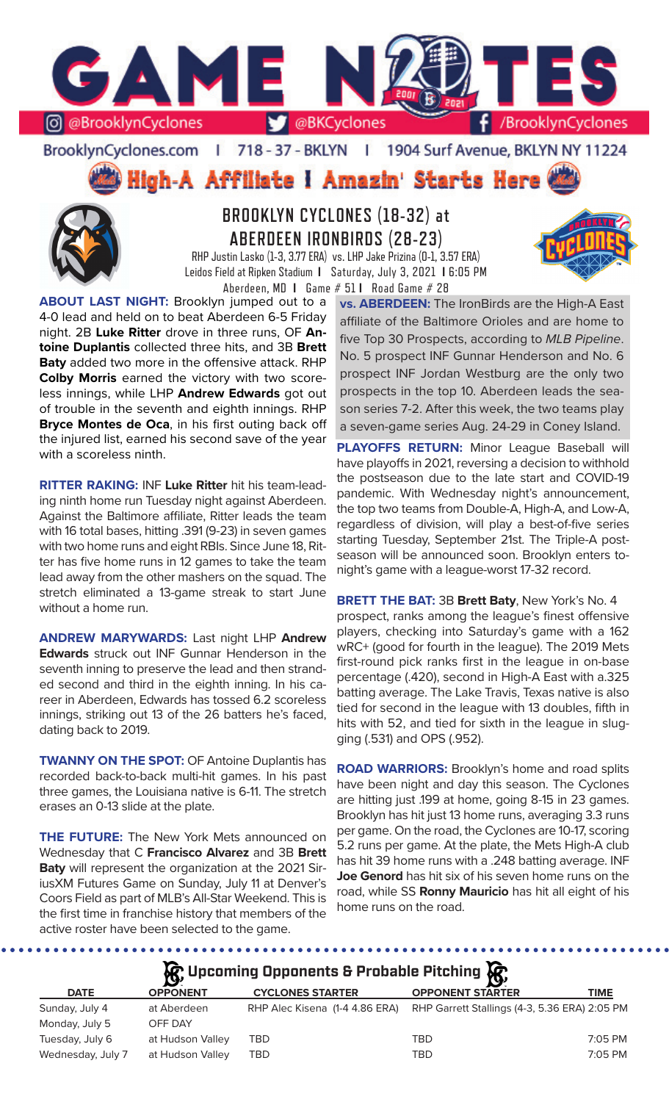

#### BrooklynCyclones.com | 718 - 37 - BKLYN | 1904 Surf Avenue, BKLYN NY 11224

**High-A Affiliate I Amazin' Starts Here** 



**BROOKLYN CYCLONES (18-32) at ABERDEEN IRONBIRDS (28-23)**

RHP Justin Lasko (1-3, 3.77 ERA) vs. LHP Jake Prizina (0-1, 3.57 ERA) Leidos Field at Ripken Stadium **I** Saturday, July 3, 2021 **I** 6:05 PM Aberdeen, MD **I** Game # 51 **I** Road Game # 28

**ABOUT LAST NIGHT:** Brooklyn jumped out to a 4-0 lead and held on to beat Aberdeen 6-5 Friday night. 2B **Luke Ritter** drove in three runs, OF **Antoine Duplantis** collected three hits, and 3B **Brett Baty** added two more in the offensive attack. RHP **Colby Morris** earned the victory with two scoreless innings, while LHP **Andrew Edwards** got out of trouble in the seventh and eighth innings. RHP **Bryce Montes de Oca**, in his first outing back off the injured list, earned his second save of the year with a scoreless ninth.

**RITTER RAKING:** INF **Luke Ritter** hit his team-leading ninth home run Tuesday night against Aberdeen. Against the Baltimore affiliate, Ritter leads the team with 16 total bases, hitting .391 (9-23) in seven games with two home runs and eight RBIs. Since June 18, Ritter has five home runs in 12 games to take the team lead away from the other mashers on the squad. The stretch eliminated a 13-game streak to start June without a home run.

**ANDREW MARYWARDS:** Last night LHP **Andrew Edwards** struck out INF Gunnar Henderson in the seventh inning to preserve the lead and then stranded second and third in the eighth inning. In his career in Aberdeen, Edwards has tossed 6.2 scoreless innings, striking out 13 of the 26 batters he's faced, dating back to 2019.

**TWANNY ON THE SPOT: OF Antoine Duplantis has** recorded back-to-back multi-hit games. In his past three games, the Louisiana native is 6-11. The stretch erases an 0-13 slide at the plate.

**THE FUTURE:** The New York Mets announced on Wednesday that C **Francisco Alvarez** and 3B **Brett Baty** will represent the organization at the 2021 SiriusXM Futures Game on Sunday, July 11 at Denver's Coors Field as part of MLB's All-Star Weekend. This is the first time in franchise history that members of the active roster have been selected to the game.

**vs. ABERDEEN:** The IronBirds are the High-A East affiliate of the Baltimore Orioles and are home to five Top 30 Prospects, according to *MLB Pipeline*. No. 5 prospect INF Gunnar Henderson and No. 6 prospect INF Jordan Westburg are the only two prospects in the top 10. Aberdeen leads the season series 7-2. After this week, the two teams play a seven-game series Aug. 24-29 in Coney Island.

**PLAYOFFS RETURN:** Minor League Baseball will have playoffs in 2021, reversing a decision to withhold the postseason due to the late start and COVID-19 pandemic. With Wednesday night's announcement, the top two teams from Double-A, High-A, and Low-A, regardless of division, will play a best-of-five series starting Tuesday, September 21st. The Triple-A postseason will be announced soon. Brooklyn enters tonight's game with a league-worst 17-32 record.

**BRETT THE BAT:** 3B **Brett Baty**, New York's No. 4 prospect, ranks among the league's finest offensive players, checking into Saturday's game with a 162 wRC+ (good for fourth in the league). The 2019 Mets first-round pick ranks first in the league in on-base percentage (.420), second in High-A East with a.325 batting average. The Lake Travis, Texas native is also tied for second in the league with 13 doubles, fifth in hits with 52, and tied for sixth in the league in slugging (.531) and OPS (.952).

**ROAD WARRIORS:** Brooklyn's home and road splits have been night and day this season. The Cyclones are hitting just .199 at home, going 8-15 in 23 games. Brooklyn has hit just 13 home runs, averaging 3.3 runs per game. On the road, the Cyclones are 10-17, scoring 5.2 runs per game. At the plate, the Mets High-A club has hit 39 home runs with a .248 batting average. INF **Joe Genord** has hit six of his seven home runs on the road, while SS **Ronny Mauricio** has hit all eight of his home runs on the road.

## **A**: Upcoming Opponents & Probable Pitching  $\mathbf{R}$

|                   | $\boldsymbol{\mathcal{F}}$ |                                | $\boldsymbol{\omega}$                         |           |
|-------------------|----------------------------|--------------------------------|-----------------------------------------------|-----------|
| <b>DATE</b>       | <b>OPPONENT</b>            | <b>CYCLONES STARTER</b>        | <b>OPPONENT STARTER</b>                       | TIME      |
| Sunday, July 4    | at Aberdeen                | RHP Alec Kisena (1-4 4.86 ERA) | RHP Garrett Stallings (4-3, 5.36 ERA) 2:05 PM |           |
| Monday, July 5    | OFF DAY                    |                                |                                               |           |
| Tuesday, July 6   | at Hudson Valley           | TBD                            | <b>TBD</b>                                    | $7:05$ PM |
| Wednesday, July 7 | at Hudson Valley           | TBD                            | TBD                                           | 7:05 PM   |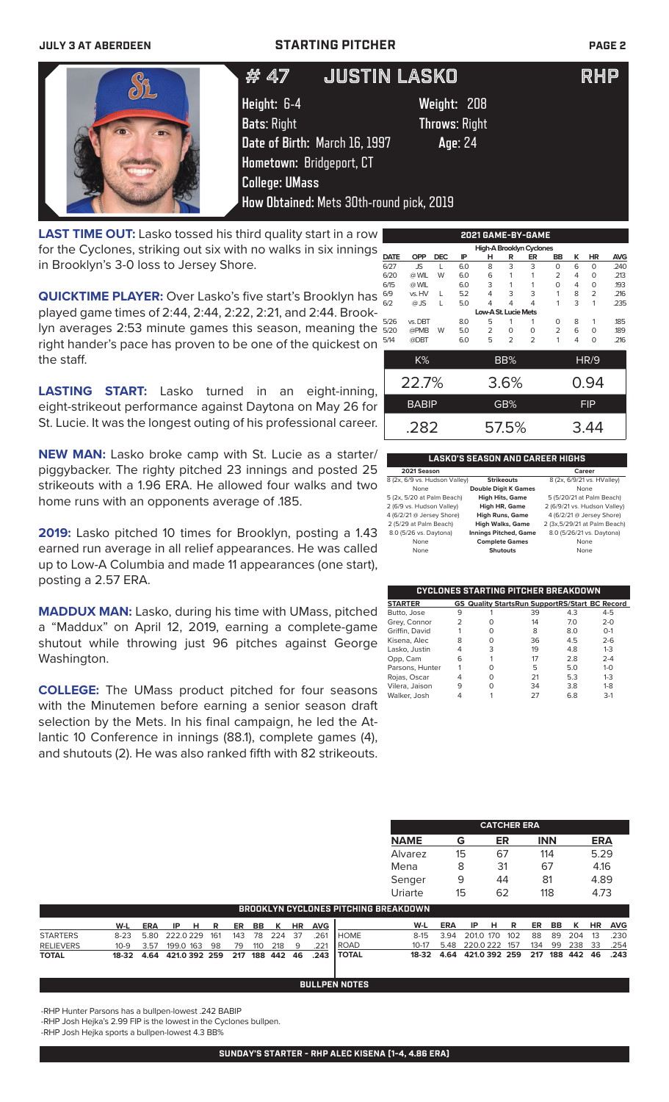### **JULY 3 AT ABERDEEN STARTING PITCHER PAGE 2**

**How Obtained:** Mets 30th-round pick, 2019

**Hometown:** Bridgeport, CT

**College: UMass** 



# # 47 JUSTIN LASKO RHP

**Height:** 6-4 **Weight:** 208 **Bats**: Right **Throws**: Right **Date of Birth:** March 16, 1997 **Age**: 24

**LAST TIME OUT:** Lasko tossed his third quality start in a row for the Cyclones, striking out six with no walks in six innings in Brooklyn's 3-0 loss to Jersey Shore.

**QUICKTIME PLAYER:** Over Lasko's five start's Brooklyn has played game times of 2:44, 2:44, 2:22, 2:21, and 2:44. Brooklyn averages 2:53 minute games this season, meaning the right hander's pace has proven to be one of the quickest on the staff.

**LASTING START:** Lasko turned in an eight-inning, eight-strikeout performance against Daytona on May 26 for St. Lucie. It was the longest outing of his professional career.

**NEW MAN:** Lasko broke camp with St. Lucie as a starter/ piggybacker. The righty pitched 23 innings and posted 25 strikeouts with a 1.96 ERA. He allowed four walks and two home runs with an opponents average of .185.

**2019:** Lasko pitched 10 times for Brooklyn, posting a 1.43 earned run average in all relief appearances. He was called up to Low-A Columbia and made 11 appearances (one start), posting a 2.57 ERA.

**MADDUX MAN:** Lasko, during his time with UMass, pitched a "Maddux" on April 12, 2019, earning a complete-game shutout while throwing just 96 pitches against George Washington.

**COLLEGE:** The UMass product pitched for four seasons with the Minutemen before earning a senior season draft selection by the Mets. In his final campaign, he led the Atlantic 10 Conference in innings (88.1), complete games (4), and shutouts (2). He was also ranked fifth with 82 strikeouts.

| 2021 GAME-BY-GAME    |              |            |     |   |                |                          |    |   |                |            |
|----------------------|--------------|------------|-----|---|----------------|--------------------------|----|---|----------------|------------|
|                      |              |            |     |   |                | High-A Brooklyn Cyclones |    |   |                |            |
| <b>DATE</b>          | <b>OPP</b>   | <b>DEC</b> | IP  | н | R              | ER                       | BB | ĸ | HR             | <b>AVG</b> |
| 6/27                 | JS.          | L          | 6.0 | 8 | 3              | 3                        | 0  | 6 | $\circ$        | .240       |
| 6/20                 | @ WIL        | W          | 6.0 | 6 |                |                          | 2  | 4 | 0              | .213       |
| 6/15                 | @ WIL        |            | 6.0 | 3 | 1              |                          | 0  | 4 | 0              | .193       |
| 6/9                  | vs. HV       | L          | 5.2 | 4 | 3              | 3                        | 1  | 8 | $\overline{2}$ | .216       |
| 6/2                  | $@$ JS       | L          | 5.0 | 4 | 4              | 4                        | 1  | 3 | 1              | .235       |
| Low-A St. Lucie Mets |              |            |     |   |                |                          |    |   |                |            |
| 5/26                 | vs. DBT      |            | 8.0 | 5 | 1              | 1                        | 0  | 8 | 1              | .185       |
| 5/20                 | @PMB         | W          | 5.0 | 2 | O              | O                        | 2  | 6 | $\Omega$       | .189       |
| 5/14                 | @DBT         |            | 6.0 | 5 | $\overline{2}$ | $\overline{2}$           | 1  | 4 | $\Omega$       | .216       |
|                      |              |            |     |   |                |                          |    |   |                |            |
|                      | K%           |            |     |   | BB%            |                          |    |   | HR/9           |            |
|                      |              |            |     |   |                |                          |    |   |                |            |
|                      | 22.7%        |            |     |   | 3.6%           |                          |    |   | 0.94           |            |
|                      | <b>BABIP</b> |            |     |   | GB%            |                          |    |   | <b>FIP</b>     |            |
|                      |              |            |     |   |                |                          |    |   |                |            |
|                      |              |            |     |   |                |                          |    |   |                |            |
|                      | .282         |            |     |   | 57.5%          |                          |    |   | 3.44           |            |

#### **LASKO'S SEASON AND CAREER HIGHS 2021 Season Career**

|                                                    | Career                        |
|----------------------------------------------------|-------------------------------|
| 8 (2x, 6/9 vs. Hudson Valley)<br><b>Strikeouts</b> | 8 (2x, 6/9/21 vs. HValley)    |
| <b>Double Digit K Games</b>                        | None                          |
| <b>High Hits, Game</b>                             | 5 (5/20/21 at Palm Beach)     |
| <b>High HR, Game</b>                               | 2 (6/9/21 vs. Hudson Valley)  |
| <b>High Runs, Game</b>                             | 4 (6/2/21 @ Jersey Shore)     |
| <b>High Walks, Game</b>                            | 2 (3x, 5/29/21 at Palm Beach) |
| <b>Innings Pitched, Game</b>                       | 8.0 (5/26/21 vs. Daytona)     |
| <b>Complete Games</b>                              | None                          |
| <b>Shutouts</b>                                    | None                          |
|                                                    |                               |

| CYCLONES STARTING PITCHER BREAKDOWN |   |   |                                                       |     |         |  |
|-------------------------------------|---|---|-------------------------------------------------------|-----|---------|--|
| <b>STARTER</b>                      |   |   | <b>GS Quality StartsRun SupportRS/Start BC Record</b> |     |         |  |
| Butto, Jose                         | 9 |   | 39                                                    | 4.3 | $4 - 5$ |  |
| Grey, Connor                        | 2 | Ω | 14                                                    | 7.0 | $2 - 0$ |  |
| Griffin, David                      |   | ∩ | 8                                                     | 8.0 | $O - 1$ |  |
| Kisena, Alec                        | 8 | Ω | 36                                                    | 4.5 | $2 - 6$ |  |
| Lasko, Justin                       | 4 | 3 | 19                                                    | 4.8 | $1 - 3$ |  |
| Opp, Cam                            | 6 |   | 17                                                    | 2.8 | $2 - 4$ |  |
| Parsons, Hunter                     |   | ∩ | 5                                                     | 5.0 | $1 - 0$ |  |
| Rojas, Oscar                        | 4 | Ω | 21                                                    | 5.3 | $1 - 3$ |  |
| Vilera, Jaison                      | 9 | Ω | 34                                                    | 3.8 | $1 - 8$ |  |
| Walker, Josh                        |   |   | 27                                                    | 6.8 | $3-1$   |  |

|             |    | <b>CATCHER ERA</b> |            |            |
|-------------|----|--------------------|------------|------------|
| <b>NAME</b> | G  | ER                 | <b>INN</b> | <b>ERA</b> |
| Alvarez     | 15 | 67                 | 114        | 5.29       |
| Mena        | 8  | 31                 | 67         | 4.16       |
| Senger      | q  | 44                 | 81         | 4.89       |
| Uriarte     | 15 | 62                 | 118        | 4.73       |

|                  |                                       |                                     |  |         |  |               | BROOKLYN CYCLONES PITCHING BREAKDOWN .                       |                                              |     |                                           |  |  |               |                |
|------------------|---------------------------------------|-------------------------------------|--|---------|--|---------------|--------------------------------------------------------------|----------------------------------------------|-----|-------------------------------------------|--|--|---------------|----------------|
|                  | W-L                                   | ERA IPHR                            |  | ER BB K |  | <b>HR AVG</b> |                                                              | W-L                                          | ERA | IPHR                                      |  |  |               | ER BB K HR AVG |
| <b>STARTERS</b>  | 8-23 5.80 222.0 229 161 143 78 224 37 |                                     |  |         |  | 261           | <b>I</b> HOME                                                |                                              |     | 8-15 3.94 201.0 170 102 88 89 204 13 .230 |  |  |               |                |
| <b>RELIEVERS</b> |                                       | 10-9 3.57 199.0 163 98 79 110 218 9 |  |         |  | .221          | <b>I ROAD</b>                                                |                                              |     | 10-17 5.48 220.0 222 157                  |  |  | 134 99 238 33 | .254           |
| <b>TOTAL</b>     |                                       |                                     |  |         |  |               | 18-32  4.64  421.0  392  259  217  188  442  46  .243  TOTAL | 18-32 4.64 421.0 392 259 217 188 442 46 .243 |     |                                           |  |  |               |                |

#### **BULLPEN NOTES**

-RHP Hunter Parsons has a bullpen-lowest .242 BABIP

-RHP Josh Hejka's 2.99 FIP is the lowest in the Cyclones bullpen.

-RHP Josh Hejka sports a bullpen-lowest 4.3 BB%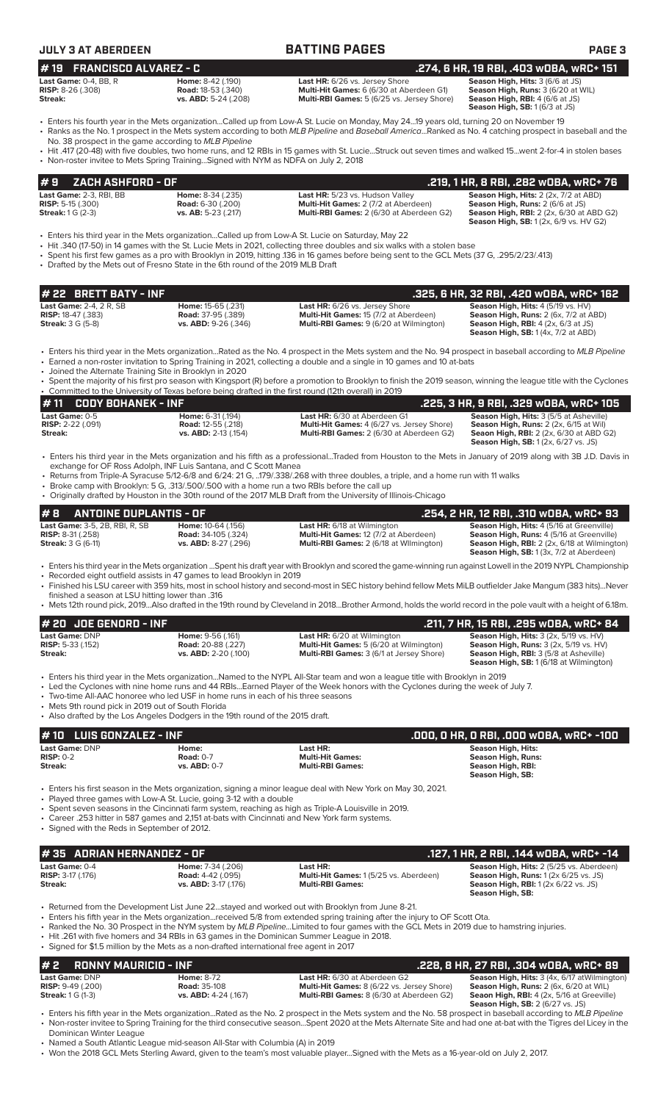| <b>JULY 3 AT ABERDEEN</b>                                                               |                                                                                                                                                                                         | <b>BATTING PAGES</b>                                                                                                                                                                                                                                                                                                                                                                                                                                                                                 | <b>PAGE 3</b>                                                                                                                                                                             |
|-----------------------------------------------------------------------------------------|-----------------------------------------------------------------------------------------------------------------------------------------------------------------------------------------|------------------------------------------------------------------------------------------------------------------------------------------------------------------------------------------------------------------------------------------------------------------------------------------------------------------------------------------------------------------------------------------------------------------------------------------------------------------------------------------------------|-------------------------------------------------------------------------------------------------------------------------------------------------------------------------------------------|
| <b>FRANCISCO ALVAREZ - C</b><br>#19                                                     |                                                                                                                                                                                         |                                                                                                                                                                                                                                                                                                                                                                                                                                                                                                      | .274, 6 HR, 19 RBI, .403 w0BA, wRC+ 151                                                                                                                                                   |
| Last Game: 0-4, BB, R<br><b>RISP:</b> $8-26$ (.308)<br>Streak:                          | Home: 8-42 (.190)<br><b>Road: 18-53 (.340)</b><br>vs. $ABD: 5-24$ (.208)                                                                                                                | Last HR: 6/26 vs. Jersey Shore<br>Multi-Hit Games: 6 (6/30 at Aberdeen G1)<br>Multi-RBI Games: 5 (6/25 vs. Jersey Shore)                                                                                                                                                                                                                                                                                                                                                                             | Season High, Hits: 3 (6/6 at JS)<br>Season High, Runs: 3 (6/20 at WIL)<br>Season High, RBI: 4 (6/6 at JS)<br>Season High, SB: 1 (6/3 at JS)                                               |
| No. 38 prospect in the game according to MLB Pipeline                                   |                                                                                                                                                                                         | Enters his fourth year in the Mets organizationCalled up from Low-A St. Lucie on Monday, May 2419 years old, turning 20 on November 19<br>• Ranks as the No. 1 prospect in the Mets system according to both MLB Pipeline and Baseball AmericaRanked as No. 4 catching prospect in baseball and the                                                                                                                                                                                                  |                                                                                                                                                                                           |
|                                                                                         | • Non-roster invitee to Mets Spring TrainingSigned with NYM as NDFA on July 2, 2018                                                                                                     | • Hit .417 (20-48) with five doubles, two home runs, and 12 RBIs in 15 games with St. LucieStruck out seven times and walked 15went 2-for-4 in stolen bases                                                                                                                                                                                                                                                                                                                                          |                                                                                                                                                                                           |
| #9<br>ZACH ASHFORD - OF                                                                 |                                                                                                                                                                                         |                                                                                                                                                                                                                                                                                                                                                                                                                                                                                                      | .219, 1 HR, 8 RBI, .282 wOBA, wRC+ 76                                                                                                                                                     |
| Last Game: 2-3, RBI, BB<br><b>RISP:</b> 5-15 (.300)<br><b>Streak:</b> 1 G (2-3)         | Home: 8-34 (.235)<br><b>Road: 6-30 (.200)</b><br>vs. AB: 5-23 (.217)                                                                                                                    | Last HR: 5/23 vs. Hudson Valley<br>Multi-Hit Games: 2 (7/2 at Aberdeen)<br>Multi-RBI Games: 2 (6/30 at Aberdeen G2)                                                                                                                                                                                                                                                                                                                                                                                  | Season High, Hits: 2 (2x, 7/2 at ABD)<br>Season High, Runs: 2 (6/6 at JS)<br><b>Season High, RBI:</b> 2 (2x, 6/30 at ABD G2)<br><b>Season High, SB:</b> 1 (2x, 6/9 vs. HV G2)             |
|                                                                                         | • Drafted by the Mets out of Fresno State in the 6th round of the 2019 MLB Draft                                                                                                        | Enters his third year in the Mets organizationCalled up from Low-A St. Lucie on Saturday, May 22 •<br>• Hit .340 (17-50) in 14 games with the St. Lucie Mets in 2021, collecting three doubles and six walks with a stolen base<br>Spent his first few games as a pro with Brooklyn in 2019, hitting .136 in 16 games before being sent to the GCL Mets (37 G, .295/2/23/.413)                                                                                                                       |                                                                                                                                                                                           |
| <b>BRETT BATY - INF</b><br># 22                                                         |                                                                                                                                                                                         |                                                                                                                                                                                                                                                                                                                                                                                                                                                                                                      | .325, 6 HR, 32 RBI, .420 w0BA, wRC+ 162                                                                                                                                                   |
| Last Game: 2-4, 2 R, SB<br><b>RISP:</b> 18-47 (.383)<br><b>Streak:</b> 3 G (5-8)        | Home: 15-65 (.231)<br><b>Road:</b> 37-95 (.389)<br>vs. ABD: 9-26 (.346)                                                                                                                 | Last HR: 6/26 vs. Jersey Shore<br>Multi-Hit Games: 15 (7/2 at Aberdeen)<br>Multi-RBI Games: 9 (6/20 at Wilmington)                                                                                                                                                                                                                                                                                                                                                                                   | Season High, Hits: 4 (5/19 vs. HV)<br><b>Season High, Runs: 2 (6x, 7/2 at ABD)</b><br><b>Season High, RBI:</b> $4$ (2x, $6/3$ at JS)<br>Season High, SB: 1 (4x, 7/2 at ABD)               |
| • Joined the Alternate Training Site in Brooklyn in 2020                                |                                                                                                                                                                                         | • Enters his third year in the Mets organizationRated as the No. 4 prospect in the Mets system and the No. 94 prospect in baseball according to MLB Pipeline<br>• Earned a non-roster invitation to Spring Training in 2021, collecting a double and a single in 10 games and 10 at-bats                                                                                                                                                                                                             |                                                                                                                                                                                           |
|                                                                                         |                                                                                                                                                                                         | • Spent the majority of his first pro season with Kingsport (R) before a promotion to Brooklyn to finish the 2019 season, winning the league title with the Cyclones<br>• Committed to the University of Texas before being drafted in the first round (12th overall) in 2019                                                                                                                                                                                                                        |                                                                                                                                                                                           |
| <b>CODY BOHANEK - INF</b><br>#11                                                        |                                                                                                                                                                                         |                                                                                                                                                                                                                                                                                                                                                                                                                                                                                                      | .225, 3 HR, 9 RBI, .329 wOBA, wRC+ 105                                                                                                                                                    |
| Last Game: 0-5<br><b>RISP:</b> 2-22 (.091)<br>Streak:                                   | Home: 6-31 (.194)<br><b>Road: 12-55 (.218)</b><br>vs. ABD: 2-13 (.154)                                                                                                                  | Last HR: 6/30 at Aberdeen G1<br>Multi-Hit Games: 4 (6/27 vs. Jersey Shore)<br>Multi-RBI Games: 2 (6/30 at Aberdeen G2)                                                                                                                                                                                                                                                                                                                                                                               | Season High, Hits: 3 (5/5 at Asheville)<br>Season High, Runs: 2 (2x, 6/15 at Wil)<br><b>Seaon High, RBI:</b> 2 (2x, 6/30 at ABD G2)<br><b>Season High, SB:</b> 1 (2x, 6/27 vs. JS)        |
|                                                                                         | exchange for OF Ross Adolph, INF Luis Santana, and C Scott Manea<br>• Broke camp with Brooklyn: 5 G, .313/.500/.500 with a home run a two RBIs before the call up                       | • Enters his third year in the Mets organization and his fifth as a professionalTraded from Houston to the Mets in January of 2019 along with 3B J.D. Davis in<br>• Returns from Triple-A Syracuse 5/12-6/8 and 6/24: 21 G, 179/.338/.268 with three doubles, a triple, and a home run with 11 walks<br>• Originally drafted by Houston in the 30th round of the 2017 MLB Draft from the University of Illinois-Chicago                                                                              |                                                                                                                                                                                           |
| #8<br><b>ANTOINE DUPLANTIS - OF</b>                                                     |                                                                                                                                                                                         |                                                                                                                                                                                                                                                                                                                                                                                                                                                                                                      | .254, 2 HR, 12 RBI, .310 WOBA, WRC+ 93                                                                                                                                                    |
| Last Game: 3-5, 2B, RBI, R, SB<br><b>RISP:</b> 8-31 (.258)<br><b>Streak: 3 G (6-11)</b> | Home: 10-64 (.156)<br>Road: 34-105 (.324)<br>vs. ABD: 8-27 (.296)                                                                                                                       | Last HR: 6/18 at Wilmington<br>Multi-Hit Games: 12 (7/2 at Aberdeen)<br>Multi-RBI Games: 2 (6/18 at Wilmington)                                                                                                                                                                                                                                                                                                                                                                                      | Season High, Hits: 4 (5/16 at Greenville)<br>Season High, Runs: 4 (5/16 at Greenville)<br><b>Season High, RBI:</b> 2 (2x, 6/18 at Wilmington)<br>Season High, SB: 1 (3x, 7/2 at Aberdeen) |
| finished a season at LSU hitting lower than .316                                        | • Recorded eight outfield assists in 47 games to lead Brooklyn in 2019                                                                                                                  | · Enters his third year in the Mets organization Spent his draft year with Brooklyn and scored the game-winning run against Lowell in the 2019 NYPL Championship<br>• Finished his LSU career with 359 hits, most in school history and second-most in SEC history behind fellow Mets MiLB outfielder Jake Mangum (383 hits)Never<br>• Mets 12th round pick, 2019Also drafted in the 19th round by Cleveland in 2018Brother Armond, holds the world record in the pole vault with a height of 6.18m. |                                                                                                                                                                                           |
| # 20 JOE GENORD - INF                                                                   |                                                                                                                                                                                         |                                                                                                                                                                                                                                                                                                                                                                                                                                                                                                      | .211, 7 HR, 15 RBI, .295 wOBA, wRC+ 84                                                                                                                                                    |
| Last Game: DNP<br><b>RISP:</b> 5-33 (.152)<br><b>Streak:</b>                            | Home: 9-56 (.161)<br><b>Road:</b> 20-88 (.227)<br>vs. ABD: 2-20 (.100)                                                                                                                  | <b>Last HR:</b> 6/20 at Wilmington<br>Multi-Hit Games: 5 (6/20 at Wilmington)<br>Multi-RBI Games: 3 (6/1 at Jersey Shore)                                                                                                                                                                                                                                                                                                                                                                            | Season High, Hits: 3 (2x, 5/19 vs. HV)<br>Season High, Runs: 3 (2x, 5/19 vs. HV)<br>Season High, RBI: 3 (5/8 at Asheville)<br>Season High, SB: 1 (6/18 at Wilmington)                     |
| • Mets 9th round pick in 2019 out of South Florida                                      | • Two-time All-AAC honoree who led USF in home runs in each of his three seasons<br>• Also drafted by the Los Angeles Dodgers in the 19th round of the 2015 draft.                      | • Enters his third year in the Mets organizationNamed to the NYPL All-Star team and won a league title with Brooklyn in 2019<br>• Led the Cyclones with nine home runs and 44 RBIsEarned Player of the Week honors with the Cyclones during the week of July 7.                                                                                                                                                                                                                                      |                                                                                                                                                                                           |
| <b>LUIS GONZALEZ - INF</b><br># 10                                                      |                                                                                                                                                                                         |                                                                                                                                                                                                                                                                                                                                                                                                                                                                                                      | .000, 0 HR, 0 RBI, .000 w0BA, wRC+ -100                                                                                                                                                   |
| Last Game: DNP<br><b>RISP: 0-2</b><br>Streak:                                           | Home:<br><b>Road: 0-7</b><br>vs. ABD: 0-7                                                                                                                                               | Last HR:<br><b>Multi-Hit Games:</b><br><b>Multi-RBI Games:</b>                                                                                                                                                                                                                                                                                                                                                                                                                                       | <b>Season High, Hits:</b><br><b>Season High, Runs:</b><br>Season High, RBI:                                                                                                               |
| • Signed with the Reds in September of 2012.                                            | • Played three games with Low-A St. Lucie, going 3-12 with a double<br>• Career .253 hitter in 587 games and 2,151 at-bats with Cincinnati and New York farm systems.                   | • Enters his first season in the Mets organization, signing a minor league deal with New York on May 30, 2021.<br>• Spent seven seasons in the Cincinnati farm system, reaching as high as Triple-A Louisville in 2019.                                                                                                                                                                                                                                                                              | Season High, SB:                                                                                                                                                                          |
| <b>ADRIAN HERNANDEZ - OF</b><br>#35                                                     |                                                                                                                                                                                         |                                                                                                                                                                                                                                                                                                                                                                                                                                                                                                      | .127, 1 HR, 2 RBI, .144 wOBA, wRC+ -14                                                                                                                                                    |
| Last Game: 0-4<br><b>RISP: 3-17 (.176)</b><br><b>Streak:</b>                            | Home: 7-34 (.206)<br><b>Road: 4-42 (.095)</b><br>vs. ABD: 3-17 (.176)                                                                                                                   | Last HR:<br>Multi-Hit Games: 1 (5/25 vs. Aberdeen)<br><b>Multi-RBI Games:</b>                                                                                                                                                                                                                                                                                                                                                                                                                        | Season High, Hits: 2 (5/25 vs. Aberdeen)<br><b>Season High, Runs: 1 (2x 6/25 vs. JS)</b><br><b>Season High, RBI:</b> 1 (2x 6/22 vs. JS)<br>Season High, SB:                               |
|                                                                                         | • Hit .261 with five homers and 34 RBIs in 63 games in the Dominican Summer League in 2018.<br>• Signed for \$1.5 million by the Mets as a non-drafted international free agent in 2017 | • Returned from the Development List June 22stayed and worked out with Brooklyn from June 8-21.<br>• Enters his fifth year in the Mets organizationreceived 5/8 from extended spring training after the injury to OF Scott Ota.<br>• Ranked the No. 30 Prospect in the NYM system by MLB PipelineLimited to four games with the GCL Mets in 2019 due to hamstring injuries.                                                                                                                          |                                                                                                                                                                                           |
| #2<br><b>RONNY MAURICIO - INF</b>                                                       |                                                                                                                                                                                         |                                                                                                                                                                                                                                                                                                                                                                                                                                                                                                      | .228, 8 HR, 27 RBI, .304 wOBA, wRC+ 89                                                                                                                                                    |
| Last Game: DNP<br>RISP: 9-49 (.200)                                                     | <b>Home: 8-72</b><br><b>Road: 35-108</b>                                                                                                                                                | Last HR: 6/30 at Aberdeen G2<br>Multi-Hit Games: 8 (6/22 vs. Jersey Shore)                                                                                                                                                                                                                                                                                                                                                                                                                           | Season High, Hits: 3 (4x, 6/17 atWilmington)<br>Season High, Runs: 2 (6x, 6/20 at WIL)                                                                                                    |

**Streak:** 1 G (1-3) **vs. ABD:** 4-24 (.167) **Multi-RBI Games:** 8 (6/30 at Aberdeen G2) **Seaon High, RBI:** 4 (2x, 5/16 at Greeville) **Season High, SB:** 2 (6/27 vs. JS)

Dominican Winter League • Named a South Atlantic League mid-season All-Star with Columbia (A) in 2019

• Won the 2018 GCL Mets Sterling Award, given to the team's most valuable player...Signed with the Mets as a 16-year-old on July 2, 2017.

• Enters his fifth year in the Mets organization...Rated as the No. 2 prospect in the Mets system and the No. 58 prospect in baseball according to *MLB Pipeline* • Non-roster invitee to Spring Training for the third consecutive season...Spent 2020 at the Mets Alternate Site and had one at-bat with the Tigres del Licey in the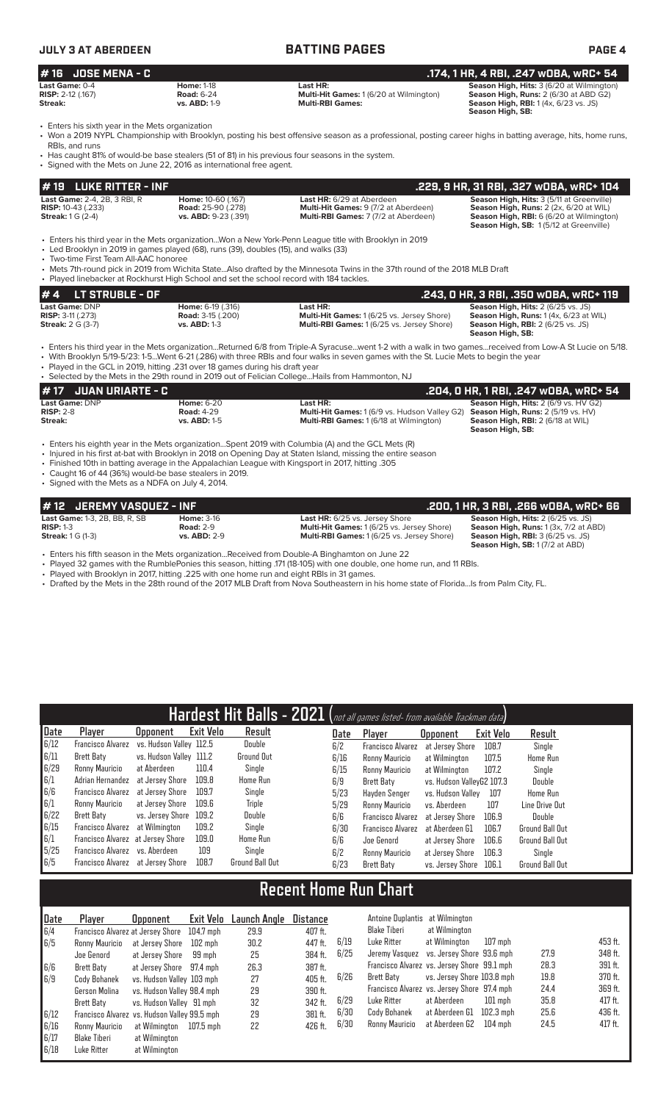| <b>JULY 3 AT ABERDEEN</b>                                          |                                                                      | <b>BATTING PAGES</b>                                                                                                                                                                                                                                              | <b>PAGE 4</b>                                                                                                                                          |
|--------------------------------------------------------------------|----------------------------------------------------------------------|-------------------------------------------------------------------------------------------------------------------------------------------------------------------------------------------------------------------------------------------------------------------|--------------------------------------------------------------------------------------------------------------------------------------------------------|
| # 16 JOSE MENA - C                                                 |                                                                      |                                                                                                                                                                                                                                                                   | .174, 1 HR, 4 RBI, .247 wOBA, wRC+ 54                                                                                                                  |
| Last Game: 0-4<br><b>RISP: 2-12 (.167)</b><br>Streak:              | <b>Home: 1-18</b><br><b>Road: 6-24</b><br><b>vs. ABD: 1-9</b>        | Last HR:<br><b>Multi-Hit Games: 1 (6/20 at Wilmington)</b><br><b>Multi-RBI Games:</b>                                                                                                                                                                             | Season High, Hits: 3 (6/20 at Wilmington)<br><b>Season High, Runs: 2 (6/30 at ABD G2)</b><br>Season High, RBI: 1 (4x, 6/23 vs. JS)<br>Season High, SB: |
| • Enters his sixth year in the Mets organization<br>RBIs, and runs | • Signed with the Mets on June 22, 2016 as international free agent. | • Won a 2019 NYPL Championship with Brooklyn, posting his best offensive season as a professional, posting career highs in batting average, hits, home runs,<br>• Has caught 81% of would-be base stealers (51 of 81) in his previous four seasons in the system. |                                                                                                                                                        |
| $\#$ 19 LUKE RITTER - INF                                          |                                                                      |                                                                                                                                                                                                                                                                   | .229, 9 HR, 31 RBI, .327 wOBA, wRC+ 104                                                                                                                |
| Last Game: 2-4, 2B, 3 RBI, R                                       | Home: 10-60 (.167)                                                   | Last HR: 6/29 at Aberdeen                                                                                                                                                                                                                                         | Season High, Hits: 3 (5/11 at Greenville)                                                                                                              |

**RISP:** 10-43 (.233) **Road:** 25-90 (.278) **Multi-Hit Games:** 9 (7/2 at Aberdeen) **Season High, Runs:** 2 (2x, 6/20 at WIL) **Streak:** 1 G (2-4) **vs. ABD:** 9-23 (.391) **Multi-RBI Games:** 7 (7/2 at Aberdeen) **Season High, RBI:** 6 (6/20 at Wilmington)

• Enters his third year in the Mets organization...Won a New York-Penn League title with Brooklyn in 2019

• Led Brooklyn in 2019 in games played (68), runs (39), doubles (15), and walks (33)

• Two-time First Team All-AAC honoree

• Mets 7th-round pick in 2019 from Wichita State...Also drafted by the Minnesota Twins in the 37th round of the 2018 MLB Draft Played linebacker at Rockhurst High School and set the school record with 184 tackles

| $# 4$ LT STRUBLE - OF                            |                                                      |                                                               | .243, 0 HR, 3 RBI, .350 w0BA, wRC+ 119                                                      |
|--------------------------------------------------|------------------------------------------------------|---------------------------------------------------------------|---------------------------------------------------------------------------------------------|
| Last Game: DNP<br><b>RISP:</b> $3-11$ ( $.273$ ) | <b>Home:</b> 6-19 (.316)<br><b>Road:</b> 3-15 (.200) | Last HR:<br><b>Multi-Hit Games: 1 (6/25 vs. Jersey Shore)</b> | <b>Season High, Hits: 2 (6/25 vs. JS)</b><br><b>Season High, Runs:</b> $1(4x, 6/23$ at WIL) |
| <b>Streak: 2 G (3-7)</b>                         | <b>vs. ABD: 1-3</b>                                  | <b>Multi-RBI Games: 1(6/25 vs. Jersey Shore)</b>              | <b>Season High, RBI:</b> $2(6/25 \text{ vs. JS})$<br>Season High, SB:                       |

**Season High, SB:** 1 (5/12 at Greenville)

• Enters his third year in the Mets organization...Returned 6/8 from Triple-A Syracuse...went 1-2 with a walk in two games...received from Low-A St Lucie on 5/18. • With Brooklyn 5/19-5/23: 1-5...Went 6-21 (.286) with three RBIs and four walks in seven games with the St. Lucie Mets to begin the year

• Played in the GCL in 2019, hitting .231 over 18 games during his draft year • Selected by the Mets in the 29th round in 2019 out of Felician College...Hails from Hammonton, NJ

|                                                 | # 17 JUAN URIARTE - C |                                                               |                                                                                                                    | .204, 0 HR, 1 RBI, .247 w0BA, wRC+ 54                                                                                                             |
|-------------------------------------------------|-----------------------|---------------------------------------------------------------|--------------------------------------------------------------------------------------------------------------------|---------------------------------------------------------------------------------------------------------------------------------------------------|
| <b>Last Game: DNP</b><br>$RISP: 2-8$<br>Streak: |                       | <b>Home: 6-20</b><br><b>Road: 4-29</b><br><b>vs. ABD: 1-5</b> | Last HR:<br><b>Multi-Hit Games:</b> 1 (6/9 vs. Hudson Valley G2)<br><b>Multi-RBI Games: 1 (6/18 at Wilmington)</b> | <b>Season High, Hits: 2 (6/9 vs. HV G2)</b><br><b>Season High, Runs: 2 (5/19 vs. HV)</b><br>Season High, RBI: 2 (6/18 at WIL)<br>Season High, SB: |
|                                                 |                       |                                                               | For the GCL Meta was in the Meta organization Spent 2019 with Columbia (A) and the GCL Meta (R)                    |                                                                                                                                                   |

• Enters his eighth year in the Mets organization...Spent 2019 with Columbia (A) and the GCL Mets (R)

- Injured in his first at-bat with Brooklyn in 2018 on Opening Day at Staten Island, missing the entire season • Finished 10th in batting average in the Appalachian League with Kingsport in 2017, hitting .305
- Caught 16 of 44 (36%) would-be base stealers in 2019.

• Signed with the Mets as a NDFA on July 4, 2014.

| #12 JEREMY VASQUEZ - INF             |                     |                                                                                                | .200. 1 HR. 3 RBI. .266 WOBA. WRC+ 66                                                      |
|--------------------------------------|---------------------|------------------------------------------------------------------------------------------------|--------------------------------------------------------------------------------------------|
| <b>Last Game: 1-3, 2B, BB, R, SB</b> | <b>Home: 3-16</b>   | <b>Last HR:</b> 6/25 vs. Jersey Shore                                                          | <b>Season High, Hits: 2 (6/25 vs. JS)</b>                                                  |
| $RISP: 1-3$                          | <b>Road: 2-9</b>    | <b>Multi-Hit Games: 1 (6/25 vs. Jersey Shore)</b>                                              | Season High, Runs: 1 (3x, 7/2 at ABD)                                                      |
| <b>Streak: 1 G (1-3)</b>             | <b>vs. ABD: 2-9</b> | <b>Multi-RBI Games: 1(6/25 vs. Jersey Shore)</b>                                               | <b>Season High, RBI:</b> $3(6/25 \text{ vs. JS})$<br><b>Season High, SB:</b> 1(7/2 at ABD) |
|                                      |                     | • Enters his fifth season in the Mets organizationReceived from Double-A Binghamton on June 22 |                                                                                            |

• Played 32 games with the RumblePonies this season, hitting .171 (18-105) with one double, one home run, and 11 RBIs.

• Played with Brooklyn in 2017, hitting .225 with one home run and eight RBIs in 31 games.

• Drafted by the Mets in the 28th round of the 2017 MLB Draft from Nova Southeastern in his home state of Florida...Is from Palm City, FL.

| Hardest Hit Balls - 2021 (not all games listed- from available Trackman data) |                                   |                         |                  |                        |      |                          |                           |           |                        |
|-------------------------------------------------------------------------------|-----------------------------------|-------------------------|------------------|------------------------|------|--------------------------|---------------------------|-----------|------------------------|
| Date                                                                          | Player                            | <b>Opponent</b>         | <b>Exit Velo</b> | Result                 | Date | Player                   | <b>Opponent</b>           | Exit Velo | Result                 |
| 6/12                                                                          | Francisco Alvarez                 | vs. Hudson Vallev 112.5 |                  | Double                 | 6/2  | Francisco Alvarez        | at Jersev Shore           | 108.7     | Single                 |
| 6/11                                                                          | Brett Baty                        | vs. Hudson Valley 111.2 |                  | Ground Out             | 6/16 | Ronny Mauricio           | at Wilmington             | 107.5     | Home Run               |
| 6/29                                                                          | Ronny Mauricio                    | at Aberdeen             | 110.4            | Single                 | 6/15 | Ronny Mauricio           | at Wilmington             | 107.2     | Single                 |
| 6/1                                                                           | Adrian Hernandez                  | at Jersey Shore         | 109.8            | Home Run               | 6/9  | Brett Batv               | vs. Hudson VallevG2 107.3 |           | Double                 |
| 6/6                                                                           | Francisco Alvarez                 | at Jersev Shore         | 109.7            | Single                 | 5/23 | Havden Senger            | vs. Hudson Vallev         | 107       | Home Run               |
| 6/1                                                                           | Ronny Mauricio                    | at Jersev Shore         | 109.6            | Triple                 | 5/29 | Ronny Mauricio           | vs. Aberdeen              | 107       | Line Drive Out         |
| 6/22                                                                          | Brett Baty                        | vs. Jersey Shore        | 109.2            | Double                 | 6/6  | Francisco Alvarez        | at Jersey Shore           | 106.9     | Double                 |
| 6/15                                                                          | Francisco Alvarez at Wilmington   |                         | 109.2            | Single                 | 6/30 | <b>Francisco Alvarez</b> | at Aberdeen G1            | 106.7     | <b>Ground Ball Out</b> |
| 6/1                                                                           | Francisco Alvarez at Jersey Shore |                         | 109.0            | Home Run               | 6/6  | Joe Genord               | at Jersey Shore           | 106.6     | <b>Ground Ball Out</b> |
| 5/25                                                                          | Francisco Alvarez vs. Aberdeen    |                         | 109              | Single                 | 6/2  | Ronny Mauricio           | at Jersey Shore           | 106.3     | Single                 |
| 6/5                                                                           | Francisco Alvarez at Jersey Shore |                         | 108.7            | <b>Ground Ball Out</b> | 6/23 | Brett Baty               | vs. Jersey Shore          | 106.1     | <b>Ground Ball Out</b> |

## **Recent Home Run Chart**

| Date | Player                                       | <b>Opponent</b>            |           | Exit Velo Launch Angle | Distance  |      | Antoine Duplantis at Wilmington             |                            |                   |      |         |
|------|----------------------------------------------|----------------------------|-----------|------------------------|-----------|------|---------------------------------------------|----------------------------|-------------------|------|---------|
| 6/4  | Francisco Alvarez at Jersey Shore            |                            | 104.7 mph | 29.9                   | 407 ft.   |      | Blake Tiberi                                | at Wilmington              |                   |      |         |
| 6/5  | Ronny Mauricio                               | at Jersev Shore            | 102 mph   | 30.2                   | 447 ft.   | 6/19 | Luke Ritter                                 | at Wilmington              | $107$ mph         |      | 453 ft. |
|      | Joe Genord                                   | at Jersev Shore            | 99 moh    | 25                     | 384 ft.   | 6/25 | Jeremy Vasquez vs. Jersey Shore 93.6 mph    |                            |                   | 27.9 | 348 ft. |
| 6/6  | Brett Baty                                   | at Jersey Shore 97.4 mph   |           | 26.3                   | 387 ft.   |      | Francisco Alvarez vs. Jersey Shore 99.1 mph |                            |                   | 28.3 | 391 ft. |
| 6/9  | Cody Bohanek                                 | vs. Hudson Valley 103 mph  |           | 27                     | $405$ ft. | 6/26 | Brett Baty                                  | vs. Jersey Shore 103.8 mph |                   | 19.8 | 370 ft. |
|      | Gerson Molina                                | vs. Hudson Valley 98.4 mph |           | 29                     | 390 ft.   |      | Francisco Alvarez vs. Jersey Shore 97.4 mph |                            |                   | 24.4 | 369 ft. |
|      | Brett Baty                                   | vs. Hudson Vallev 91 mph   |           | 32                     | 342 ft.   | 6/29 | Luke Ritter                                 | at Aberdeen                | $101$ mph         | 35.8 | 417 ft. |
| 6/12 | Francisco Alvarez vs. Hudson Valley 99.5 mph |                            |           | 29                     | 381 ft.   | 6/30 | Cody Bohanek                                | at Aberdeen G1             | 102.3 mph         | 25.6 | 436 ft. |
| 6/16 | Ronny Mauricio                               | at Wilmington              | 107.5 mph | 22                     | 426 ft.   | 6/30 | Ronny Mauricio                              | at Aberdeen G2             | $104 \text{ mph}$ | 24.5 | 417 ft. |
| 6/17 | Blake Tiberi                                 | at Wilmington              |           |                        |           |      |                                             |                            |                   |      |         |
| 6/18 | Luke Ritter                                  | at Wilmington              |           |                        |           |      |                                             |                            |                   |      |         |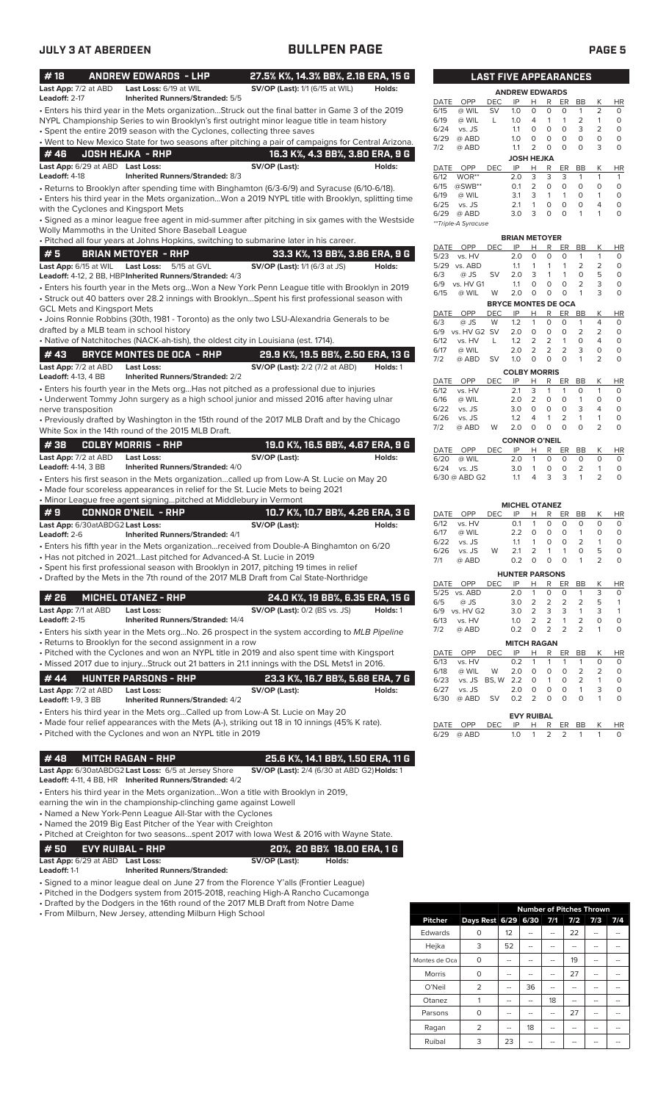| #18                                     | <b>ANDREW EDWARDS - LHP</b>                                              | 27.5% K%, 14.3% BB%, 2.18 ERA, 15 G                                                                                                                                                               |          |              |                       | <b>LAST FIVE APPEARANCES</b> |                            |                         |                              |                     |                                |                     |         |
|-----------------------------------------|--------------------------------------------------------------------------|---------------------------------------------------------------------------------------------------------------------------------------------------------------------------------------------------|----------|--------------|-----------------------|------------------------------|----------------------------|-------------------------|------------------------------|---------------------|--------------------------------|---------------------|---------|
| Last App: 7/2 at ABD<br>Leadoff: 2-17   | Last Loss: 6/19 at WIL                                                   | <b>SV/OP (Last):</b> 1/1 (6/15 at WIL)                                                                                                                                                            | Holds:   |              |                       |                              | <b>ANDREW EDWARDS</b>      |                         |                              |                     |                                |                     |         |
|                                         | <b>Inherited Runners/Stranded: 5/5</b>                                   |                                                                                                                                                                                                   |          | DATE         | <b>OPP</b>            | DEC                          | IP                         | н<br>$\circ$            | R<br>$\mathbf 0$             | ER<br>$\circ$       | BB<br>1                        | Κ<br>$\overline{2}$ | H       |
|                                         |                                                                          | • Enters his third year in the Mets organizationStruck out the final batter in Game 3 of the 2019<br>NYPL Championship Series to win Brooklyn's first outright minor league title in team history |          | 6/15<br>6/19 | @ WIL<br>@ WIL        | <b>SV</b><br>L               | 1.0<br>1.0                 | $\overline{4}$          | $\mathbf{1}$                 | $\mathbf{1}$        | $\overline{2}$                 | $\mathbf{1}$        | 0<br>0  |
|                                         | • Spent the entire 2019 season with the Cyclones, collecting three saves |                                                                                                                                                                                                   |          | 6/24         | vs. JS                |                              | 1.1                        | $\circ$                 | $\circ$                      | $\circ$             | 3                              | $\overline{2}$      | O       |
|                                         |                                                                          | • Went to New Mexico State for two seasons after pitching a pair of campaigns for Central Arizona.                                                                                                |          | 6/29         | @ ABD                 |                              | 1.0                        | $\circ$                 | $\circ$                      | $\circ$             | $\circ$                        | $\circ$             | 0       |
| #46                                     | <b>JOSH HEJKA - RHP</b>                                                  | 16.3 K%, 4.3 BB%, 3.80 ERA, 9 G                                                                                                                                                                   |          | 7/2          | @ ABD                 |                              | 1.1                        | $\overline{2}$          | $\circ$                      | $\circ$             | 0                              | 3                   | O       |
| Last App: 6/29 at ABD Last Loss:        |                                                                          | SV/OP (Last):                                                                                                                                                                                     | Holds:   | DATE         | <b>OPP</b>            | <b>DEC</b>                   | <b>JOSH HEJKA</b><br>IP    | н                       | R                            | ER                  | BB                             | К                   | HI      |
| Leadoff: 4-18                           | Inherited Runners/Stranded: 8/3                                          |                                                                                                                                                                                                   |          | 6/12         | WOR**                 |                              | 2.0                        | 3                       | 3                            | 3                   | 1                              | 1                   | 1       |
|                                         |                                                                          | • Returns to Brooklyn after spending time with Binghamton (6/3-6/9) and Syracuse (6/10-6/18).                                                                                                     |          | 6/15         | $@SWB**$              |                              | 0.1                        | 2                       | $\circ$                      | $\circ$             | 0                              | $\circ$             | 0       |
|                                         |                                                                          | . Enters his third year in the Mets organizationWon a 2019 NYPL title with Brooklyn, splitting time                                                                                               |          | 6/19         | @ WIL                 |                              | 3.1                        | 3                       | $\mathbf{1}$                 | $\mathbf{1}$        | O                              | 1                   | $\circ$ |
| with the Cyclones and Kingsport Mets    |                                                                          |                                                                                                                                                                                                   |          | 6/25<br>6/29 | vs. JS<br>@ ABD       |                              | 2.1<br>3.0                 | $\mathbf{1}$<br>3       | $\circ$<br>$\mathbf 0$       | $\circ$<br>$\Omega$ | $\mathbf 0$<br>$\mathbf{1}$    | $\overline{4}$<br>1 | O<br>0  |
|                                         |                                                                          | • Signed as a minor league free agent in mid-summer after pitching in six games with the Westside                                                                                                 |          |              | **Triple-A Syracuse   |                              |                            |                         |                              |                     |                                |                     |         |
|                                         | Wolly Mammoths in the United Shore Baseball League                       |                                                                                                                                                                                                   |          |              |                       |                              | <b>BRIAN METOYER</b>       |                         |                              |                     |                                |                     |         |
|                                         |                                                                          | . Pitched all four years at Johns Hopkins, switching to submarine later in his career.                                                                                                            |          | DATE         | OPP                   | <b>DEC</b>                   | IP                         | Н                       | R                            | ER                  | BB                             | Κ                   | H       |
| #5                                      | <b>BRIAN METOYER - RHP</b>                                               | 33.3 K%, 13 BB%, 3.86 ERA, 9 G                                                                                                                                                                    |          | 5/23         | vs. HV                |                              | 2.0                        | $\circ$                 | $\mathbf 0$                  | $\circ$             | $\mathbf{1}$                   | $\mathbf{1}$        | C       |
| Last App: 6/15 at WIL                   | Last Loss: 5/15 at GVL                                                   | <b>SV/OP (Last):</b> 1/1 (6/3 at JS)                                                                                                                                                              | Holds:   | 6/3          | 5/29 vs. ABD          |                              | 1.1                        | $\mathbf{1}$            | $\mathbf{1}$<br>$\mathbf{1}$ | $\overline{1}$<br>1 | 2<br>$\mathbf 0$               | 2<br>5              | C<br>C  |
|                                         | Leadoff: 4-12, 2 BB, HBP Inherited Runners/Stranded: 4/3                 |                                                                                                                                                                                                   |          | 6/9          | $@$ JS<br>vs. HV G1   | <b>SV</b>                    | 2.0<br>1.1                 | 3<br>$\circ$            | $\mathbf 0$                  | $\circ$             | $\overline{2}$                 | 3                   | C       |
|                                         |                                                                          | . Enters his fourth year in the Mets orgWon a New York Penn League title with Brooklyn in 2019                                                                                                    |          | 6/15         | @ WIL                 | W                            | 2.0                        | $\circ$                 | $\circ$                      | $\circ$             | $\mathbf{1}$                   | 3                   | C       |
| <b>GCL Mets and Kingsport Mets</b>      |                                                                          | • Struck out 40 batters over 28.2 innings with BrooklynSpent his first professional season with                                                                                                   |          |              |                       |                              | <b>BRYCE MONTES DE OCA</b> |                         |                              |                     |                                |                     |         |
|                                         |                                                                          | • Joins Ronnie Robbins (30th, 1981 - Toronto) as the only two LSU-Alexandria Generals to be                                                                                                       |          | DATE         | OPP                   | DEC                          | IP                         | Н                       | R                            | ER                  | BB                             | Κ                   | HI      |
| drafted by a MLB team in school history |                                                                          |                                                                                                                                                                                                   |          | 6/3<br>6/9   | @ JS<br>vs. HV G2 SV  | W                            | 1.2<br>2.0                 | $\mathbf{1}$<br>$\circ$ | $\mathbf 0$<br>0             | $\circ$<br>0        | 1<br>2                         | $\overline{4}$<br>2 | 0<br>0  |
|                                         |                                                                          | • Native of Natchitoches (NACK-ah-tish), the oldest city in Louisiana (est. 1714).                                                                                                                |          | 6/12         | vs. HV                | L                            | 1.2                        | 2                       | $\overline{2}$               | $\mathbf{1}$        | $\circ$                        | $\overline{4}$      | 0       |
| #43                                     | <b>BRYCE MONTES DE OCA - RHP</b>                                         | 29.9 K%, 19.5 BB%, 2.50 ERA, 13 G                                                                                                                                                                 |          | 6/17         | @ WIL                 |                              | 2.0                        | $\overline{2}$          | $\overline{2}$               | 2                   | 3                              | 0                   | 0       |
| Last App: 7/2 at ABD                    | <b>Last Loss:</b>                                                        | <b>SV/OP (Last):</b> 2/2 (7/2 at ABD)                                                                                                                                                             | Holds: 1 | 7/2          | @ ABD                 | <b>SV</b>                    | 1.0                        | $\circ$                 | $\Omega$                     | $\Omega$            | 1                              | $\overline{2}$      | O       |
| <b>Leadoff: 4-13, 4 BB</b>              | <b>Inherited Runners/Stranded: 2/2</b>                                   |                                                                                                                                                                                                   |          |              |                       |                              | <b>COLBY MORRIS</b>        |                         |                              |                     |                                |                     |         |
|                                         |                                                                          | • Enters his fourth year in the Mets org Has not pitched as a professional due to injuries                                                                                                        |          | DATE<br>6/12 | OPP<br>vs. HV         | <b>DEC</b>                   | IP<br>2.1                  | Н<br>3                  | R<br>$\mathbf{1}$            | ER<br>1             | BB<br>O                        | K<br>$\mathbf{1}$   | HI<br>O |
|                                         |                                                                          | • Underwent Tommy John surgery as a high school junior and missed 2016 after having ulnar                                                                                                         |          | 6/16         | @ WIL                 |                              | 2.0                        | 2                       | $\circ$                      | $\circ$             | $\mathbf{1}$                   | $\mathbf 0$         | 0       |
| nerve transposition                     |                                                                          |                                                                                                                                                                                                   |          | 6/22         | vs. JS                |                              | 3.0                        | $\circ$                 | $\circ$                      | $\circ$             | 3                              | 4                   | 0       |
|                                         |                                                                          | • Previously drafted by Washington in the 15th round of the 2017 MLB Draft and by the Chicago                                                                                                     |          | 6/26         | vs. JS                |                              | 1.2                        | 4                       | 1                            | $\overline{2}$      | $\mathbf{1}$                   | $\mathbf{1}$        | O       |
|                                         | White Sox in the 14th round of the 2015 MLB Draft.                       |                                                                                                                                                                                                   |          | 7/2          | @ ABD                 | W                            | 2.0                        | $\circ$                 | $\circ$                      | $\Omega$            | $\Omega$                       | $\overline{2}$      | O       |
| #38                                     | <b>COLBY MORRIS - RHP</b>                                                | 19.0 K%, 16.5 BB%, 4.67 ERA, 9 G                                                                                                                                                                  |          |              |                       |                              | <b>CONNOR O'NEIL</b>       |                         |                              |                     |                                |                     |         |
| Last App: 7/2 at ABD                    | <b>Last Loss:</b>                                                        | SV/OP (Last):                                                                                                                                                                                     | Holds:   | DATE<br>6/20 | OPP<br>@ WIL          | <b>DEC</b>                   | IP<br>2.0                  | Н<br>$\mathbf{1}$       | R<br>$\circ$                 | ER<br>$\circ$       | BB<br>$\circ$                  | Κ<br>0              | H<br>C  |
| <b>Leadoff: 4-14, 3 BB</b>              | Inherited Runners/Stranded: 4/0                                          |                                                                                                                                                                                                   |          | 6/24         | vs. JS                |                              | 3.0                        | $\mathbf{1}$            | O                            | $\circ$             | $\overline{2}$                 | $\mathbf{1}$        | C       |
|                                         |                                                                          | · Enters his first season in the Mets organizationcalled up from Low-A St. Lucie on May 20                                                                                                        |          |              | 6/30 @ ABD G2         |                              | 1.1                        | 4                       | 3                            | 3                   | $\mathbf{1}$                   | $\overline{2}$      | C       |
|                                         |                                                                          | • Made four scoreless appearances in relief for the St. Lucie Mets to being 2021                                                                                                                  |          |              |                       |                              |                            |                         |                              |                     |                                |                     |         |
|                                         | • Minor League free agent signingpitched at Middlebury in Vermont        |                                                                                                                                                                                                   |          |              |                       |                              | <b>MICHEL OTANEZ</b>       |                         |                              |                     |                                |                     |         |
| #9                                      | <b>CONNOR O'NEIL - RHP</b>                                               | 10.7 K%, 10.7 BB%, 4.26 ERA, 3 G                                                                                                                                                                  |          | DATE         | OPP                   | <b>DEC</b>                   | IP                         | н                       | R                            | ER                  | BB                             | Κ                   | H       |
| Last App: 6/30atABDG2 Last Loss:        |                                                                          | SV/OP (Last):                                                                                                                                                                                     | Holds:   | 6/12         | vs. HV                |                              | 0.1                        | $\mathbf{1}$            | $\circ$                      | $\Omega$            | 0                              | 0                   | C       |
| Leadoff: $2-6$                          | <b>Inherited Runners/Stranded: 4/1</b>                                   |                                                                                                                                                                                                   |          | 6/17<br>6/22 | @ WIL<br>vs. JS       |                              | 2.2<br>1.1                 | $\circ$<br>$\mathbf{1}$ | $\circ$<br>0                 | $\circ$<br>$\circ$  | $\mathbf{1}$<br>$\overline{2}$ | $\circ$<br>1        | C<br>C  |
|                                         |                                                                          | • Enters his fifth year in the Mets organizationreceived from Double-A Binghamton on 6/20                                                                                                         |          | 6/26         | vs. JS                | W                            | 2.1                        | 2                       | 1                            | $\mathbf{1}$        | $\Omega$                       | 5                   | C       |
|                                         | • Has not pitched in 2021 Last pitched for Advanced-A St. Lucie in 2019  |                                                                                                                                                                                                   |          | 7/1          | @ ABD                 |                              | 0.2                        | 0                       | 0                            | 0                   | 1                              | 2                   | C       |
|                                         |                                                                          | • Spent his first professional season with Brooklyn in 2017, pitching 19 times in relief<br>• Drafted by the Mets in the 7th round of the 2017 MLB Draft from Cal State-Northridge                |          |              |                       |                              | <b>HUNTER PARSONS</b>      |                         |                              |                     |                                |                     |         |
|                                         |                                                                          |                                                                                                                                                                                                   |          |              | DATE OPP              | <b>DEC</b>                   | IP                         | н                       | R                            | ER                  | BB                             | Κ                   | H       |
| #26                                     | <b>MICHEL OTANEZ - RHP</b>                                               | 24.0 K%, 19 BB%, 6.35 ERA, 15 G                                                                                                                                                                   |          |              | 5/25 vs. ABD          |                              | 2.0                        | $\mathbf{1}$            | 0                            | 0                   | 1                              | 3<br>5              | 0       |
| Last App: 7/1 at ABD                    | Last Loss:                                                               | <b>SV/OP (Last):</b> 0/2 (BS vs. JS)                                                                                                                                                              | Holds: 1 | 6/5          | @ JS<br>6/9 vs. HV G2 |                              | 3.0<br>3.0                 | 2<br>$\overline{2}$     | 2<br>3                       | 2<br>3              | 2<br>1                         | 3                   | 1<br>1  |
| Leadoff: 2-15                           | <b>Inherited Runners/Stranded: 14/4</b>                                  |                                                                                                                                                                                                   |          | 6/13         | vs. HV                |                              | 1.0                        | 2                       | $\overline{2}$               | 1                   | 2                              | 0                   | O       |
|                                         |                                                                          | • Enters his sixth year in the Mets orgNo. 26 prospect in the system according to MLB Pipeline                                                                                                    |          | 7/2          | @ ABD                 |                              | 0.2                        | 0                       | 2                            | 2                   | 2                              | 1                   | O       |
|                                         | • Returns to Brooklyn for the second assignment in a row                 |                                                                                                                                                                                                   |          |              |                       |                              | <b>MITCH RAGAN</b>         |                         |                              |                     |                                |                     |         |
|                                         |                                                                          | • Pitched with the Cyclones and won an NYPL title in 2019 and also spent time with Kingsport                                                                                                      |          | DATE         | OPP                   | DEC                          | IP                         | Н                       | R                            | ER                  | BB                             | Κ                   | H       |
|                                         |                                                                          | • Missed 2017 due to injuryStruck out 21 batters in 21.1 innings with the DSL Mets1 in 2016.                                                                                                      |          | 6/13<br>6/18 | vs. HV<br>@ WIL       | W                            | 0.2<br>2.0                 | 1<br>O                  | 0                            | 1<br>0              | 1<br>2                         | 0<br>2              | C<br>C  |
| #44                                     | <b>HUNTER PARSONS - RHP</b>                                              | 23.3 K%, 16.7 BB%, 5.68 ERA, 7 G                                                                                                                                                                  |          | 6/23         | vs. JS BS, W          |                              | 2.2                        | 0                       | 1                            | 0                   | 2                              | 1                   | C       |
| Last App: 7/2 at ABD                    | <b>Last Loss:</b>                                                        | SV/OP (Last):                                                                                                                                                                                     | Holds:   | 6/27         | vs. JS                |                              | 2.0                        | 0                       | 0                            | 0                   | $\mathbf{1}$                   | 3                   | C       |
| <b>Leadoff: 1-9, 3 BB</b>               | <b>Inherited Runners/Stranded: 4/2</b>                                   |                                                                                                                                                                                                   |          | 6/30         | @ ABD                 | SV                           | 0.2                        | 2                       | 0                            | 0                   | 0                              | 1                   | C       |
|                                         |                                                                          | • Enters his third year in the Mets orgCalled up from Low-A St. Lucie on May 20                                                                                                                   |          |              |                       |                              | <b>EVY RUIBAL</b>          |                         |                              |                     |                                |                     |         |
|                                         |                                                                          | • Made four relief appearances with the Mets (A-), striking out 18 in 10 innings (45% K rate).                                                                                                    |          | DATE         | OPP                   | DEC                          | IP                         | Н                       | R                            | ER                  | BB                             | Κ                   | H       |
|                                         | • Pitched with the Cyclones and won an NYPL title in 2019                |                                                                                                                                                                                                   |          | 6/29         | @ ABD                 |                              | 1.0                        | 1                       | 2                            | 2                   | -1                             | 1                   |         |
|                                         |                                                                          |                                                                                                                                                                                                   |          |              |                       |                              |                            |                         |                              |                     |                                |                     |         |
| #48                                     | <b>MITCH RAGAN - RHP</b>                                                 | 25.6 K%, 14.1 BB%, 1.50 ERA, 11 G                                                                                                                                                                 |          |              |                       |                              |                            |                         |                              |                     |                                |                     |         |
|                                         | Last App: 6/30atABDG2 Last Loss: 6/5 at Jersey Shore                     | SV/OP (Last): 2/4 (6/30 at ABD G2) Holds: 1                                                                                                                                                       |          |              |                       |                              |                            |                         |                              |                     |                                |                     |         |
|                                         | Leadoff: 4-11, 4 BB, HR Inherited Runners/Stranded: 4/2                  |                                                                                                                                                                                                   |          |              |                       |                              |                            |                         |                              |                     |                                |                     |         |
|                                         | earning the win in the championship-clinching game against Lowell        | • Enters his third year in the Mets organizationWon a title with Brooklyn in 2019,                                                                                                                |          |              |                       |                              |                            |                         |                              |                     |                                |                     |         |
|                                         | • Named a New York-Penn League All-Star with the Cyclones                |                                                                                                                                                                                                   |          |              |                       |                              |                            |                         |                              |                     |                                |                     |         |
|                                         | • Named the 2019 Big East Pitcher of the Year with Creighton             |                                                                                                                                                                                                   |          |              |                       |                              |                            |                         |                              |                     |                                |                     |         |
|                                         |                                                                          | $\bullet$ Pitched at Creighton for two seasonsspent 2017 with lowa West & 2016 with Wayne State.                                                                                                  |          |              |                       |                              |                            |                         |                              |                     |                                |                     |         |
| #50                                     | <b>EVY RUIBAL - RHP</b>                                                  | 20%, 20 BB% 18.00 ERA, 1 G                                                                                                                                                                        |          |              |                       |                              |                            |                         |                              |                     |                                |                     |         |
|                                         |                                                                          |                                                                                                                                                                                                   |          |              |                       |                              |                            |                         |                              |                     |                                |                     |         |

| <b>JOSH HEJKA</b> |                     |            |     |   |   |    |    |   |           |  |  |
|-------------------|---------------------|------------|-----|---|---|----|----|---|-----------|--|--|
|                   | DATE OPP            | <b>DEC</b> | IP  | н | R | ER | BB | K | <b>HR</b> |  |  |
| 6/12              | WOR**               |            | 2.0 | 3 | 3 | 3  | 1  |   | 1         |  |  |
| 6/15              | @SWB**              |            | 0.1 | 2 | Ο | O  | O  | Ω | O         |  |  |
| 6/19              | @ WIL               |            | 3.1 | 3 | 1 | 1  | ი  |   | $\Omega$  |  |  |
| 6/25              | vs. JS              |            | 21  | 1 | O | O  | ი  | 4 | O         |  |  |
| 6/29              | @ ABD               |            | 3.0 | 3 | O | O  | 1  |   | O         |  |  |
|                   | **Triple-A Syracuse |            |     |   |   |    |    |   |           |  |  |
|                   |                     |            |     |   |   |    |    |   |           |  |  |

| OPP       | DEC                         | IP        | н              | R | ER | BB                                          | Κ                          | ΗR |
|-----------|-----------------------------|-----------|----------------|---|----|---------------------------------------------|----------------------------|----|
| vs. HV    |                             | 2.0       | O              | 0 | 0  | 1                                           | 1                          | O  |
| vs. ABD   |                             | 1.1       | 1              | 1 | 1  | 2                                           | 2                          | 0  |
| @ JS      | SV                          | 2.0       | 3              | 1 | 1  | 0                                           | 5                          | 0  |
| vs. HV G1 |                             | 1.1       | $\Omega$       | 0 | 0  | 2                                           | 3                          | 0  |
| @ WIL     | W                           | 2.0       | O              | 0 | 0  | 1                                           | 3                          | 0  |
|           |                             |           |                |   |    |                                             |                            |    |
| OPP       | DEC                         | IP        | н              | R | ER | <b>BB</b>                                   | Κ                          | ΗR |
| $@$ JS    | W                           | 1.2       | 1              | 0 | O  | 1                                           | 4                          | 0  |
|           | <b>SV</b>                   | 2.0       | 0              | 0 | O  | $\overline{2}$                              | 2                          | 0  |
| vs. HV    | L                           | 1.2       | 2              | 2 | 1  | $\Omega$                                    | 4                          | 0  |
| @ WIL     |                             | 2.0       | $\overline{2}$ | 2 | 2  | 3                                           | $\Omega$                   | 0  |
| @ ABD     | SV                          | 1.0       | 0              | 0 | O  | 1                                           | $\overline{2}$             | 0  |
|           |                             |           |                |   |    |                                             |                            |    |
| OPP       | DEC                         | IP        | н              | R | ER | BB                                          | К                          | ΗR |
| vs. HV    |                             | 2.1       | 3              | 1 | 1  | 0                                           | 1                          | 0  |
| @ WIL     |                             | 2.0       | 2              | 0 | O  | 1                                           | $\Omega$                   | 0  |
| vs. JS    |                             | 3.0       | 0              | 0 | O  | 3                                           | 4                          | 0  |
| vs. JS    |                             | 1.2       | 4              | 1 | 2  | 1                                           | 1                          | 0  |
| 5/29      | <b>DATE</b><br>DATE<br>DATE | vs. HV G2 |                |   |    | <b>BRIAN METOYER</b><br><b>COLBY MORRIS</b> | <b>BRYCE MONTES DE OCA</b> |    |

| 7/2  | @ ABD W 2.0 0 0 0 |      |                      |   |               |              | 0             |    |
|------|-------------------|------|----------------------|---|---------------|--------------|---------------|----|
|      |                   |      | <b>CONNOR O'NEIL</b> |   |               |              |               |    |
|      | DATE OPP          | DEC. |                      |   |               | IP H R ER BB |               | HR |
| 6/20 | @ WIL             |      | 2 O                  | 1 | O             | O            | O             | ∩  |
|      | $6/24$ vs. JS     |      | 30                   |   | O             | O            | $\mathcal{P}$ | O. |
|      | 6/30 @ ABD G2     |      | 11                   |   | $\mathcal{R}$ | -3           | -1            |    |

|             |           |            | <b>MICHEL OTANEZ</b>  |                |          |          |                |                |    |
|-------------|-----------|------------|-----------------------|----------------|----------|----------|----------------|----------------|----|
| DATE        | OPP       | <b>DEC</b> | IP                    | Н              | R        | ER       | BB             | Κ              | ΗR |
| 6/12        | vs. HV    |            | 0.1                   | 1              | $\Omega$ | 0        | 0              | O              | 0  |
| 6/17        | @ WIL     |            | 2.2                   | 0              | 0        | 0        | 1              | 0              | 0  |
| 6/22        | vs. JS    |            | 1.1                   | 1              | 0        | 0        | 2              | 1              | 0  |
| 6/26        | vs. JS    | W          | 2.1                   | $\overline{2}$ | 1        | 1        | 0              | 5              | 0  |
| 7/1         | @ ABD     |            | 0.2                   | $\Omega$       | 0        | $\Omega$ | 1              | $\overline{2}$ | 0  |
|             |           |            | <b>HUNTER PARSONS</b> |                |          |          |                |                |    |
| DATE        | OPP       | DEC        | IP                    | н              | R        | ER       | <b>BB</b>      | Κ              | HR |
| 5/25        | vs. ABD   |            | 2.0                   | 1              | 0        | O        | 1              | 3              | 0  |
| 6/5         | @ JS      |            | 3.0                   | 2              | 2        | 2        | 2              | 5              | 1  |
| 6/9         | vs. HV G2 |            | 3.0                   | 2              | 3        | 3        | 1              | 3              | 1  |
| 6/13        | vs. HV    |            | 1.0                   | 2              | 2        | 1        | $\overline{2}$ | $\Omega$       | 0  |
| 7/2         | @ ABD     |            | 0.2                   | 0              | 2        | 2        | $\overline{2}$ | 1              | 0  |
|             |           |            | <b>MITCH RAGAN</b>    |                |          |          |                |                |    |
| <b>DATE</b> | OPP       | DEC        | IP                    | Н              | R        | ER       | BB             | Κ              | ΗR |
| 6/13        | vs. HV    |            | 0.2                   | 1              | 1        | 1        | 1              | O              | 0  |
| 6/18        | @ WIL     | W          | 2.0                   | O              | 0        | 0        | 2              | 2              | 0  |
| 6/23        | vs. JS    | BS, W      | 2.2                   | 0              | 1        | 0        | 2              | 1              | 0  |
| 6/27        | vs. JS    |            | 2.0                   | 0              | 0        | 0        | 1              | 3              | 0  |
| 6/30        | @ ABD     | SV         | 0.2                   | 2              | 0        | 0        | 0              | 1              | 0  |
|             |           |            |                       |                |          |          |                |                |    |

|                                | <b>EVY RUIBAL</b> |  |  |                 |  |
|--------------------------------|-------------------|--|--|-----------------|--|
| DATE OPP DEC IP H R ER BB K HR |                   |  |  |                 |  |
| 6/29 @ ABD                     |                   |  |  | 1.0 1 2 2 1 1 0 |  |

- 
- 
- 
- Pitched at Creighton for two seasons...spent 2017 with Iowa West & 2016 with Wayne State.

**Last App:** 6/29 at ABD **Last Loss: SV/OP (Last): Holds:**

**Leadoff:** 1-1 **Inherited Runners/Stranded:**

- Signed to a minor league deal on June 27 from the Florence Y'alls (Frontier League)
- Pitched in the Dodgers system from 2015-2018, reaching High-A Rancho Cucamonga • Drafted by the Dodgers in the 16th round of the 2017 MLB Draft from Notre Dame
- 
- From Milburn, New Jersey, attending Milburn High School

|                |                         | <b>Number of Pitches Thrown</b> |    |    |     |     |     |  |  |  |
|----------------|-------------------------|---------------------------------|----|----|-----|-----|-----|--|--|--|
| <b>Pitcher</b> | Days Rest 6/29 6/30 7/1 |                                 |    |    | 7/2 | 7/3 | 7/4 |  |  |  |
| <b>Edwards</b> | ი                       | 12                              |    |    | 22  |     |     |  |  |  |
| Hejka          | 3                       | 52                              |    | -- | --  |     |     |  |  |  |
| Montes de Oca  | O                       | --                              |    |    | 19  |     |     |  |  |  |
| <b>Morris</b>  | Ο                       | --                              |    |    | 27  |     |     |  |  |  |
| O'Neil         | 2                       | --                              | 36 | -- | --  |     |     |  |  |  |
| Otanez         |                         | --                              |    | 18 | --  |     |     |  |  |  |
| Parsons        | Ο                       |                                 |    | -- | 27  |     |     |  |  |  |
| Ragan          | 2                       | --                              | 18 |    | --  |     |     |  |  |  |
| Ruibal         | 3                       | 23                              |    |    |     |     |     |  |  |  |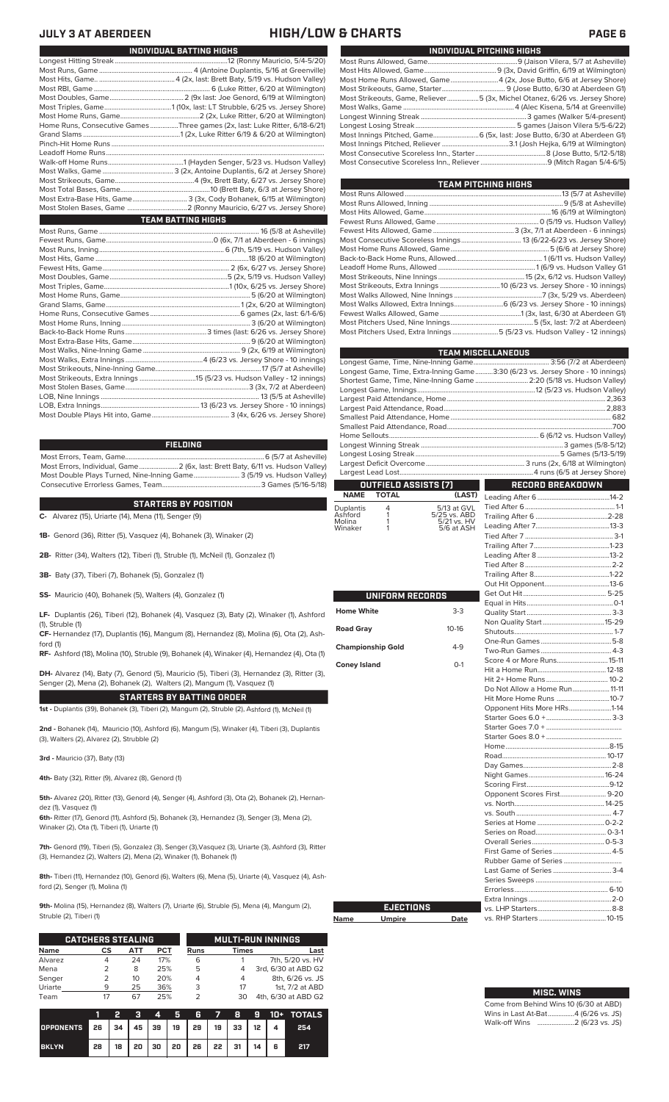### **JULY 3 AT ABERDEEN HIGH/LOW & CHARTS PAGE 6**

| INDIVIDUAL PITCHING HIGHS                                                   |
|-----------------------------------------------------------------------------|
|                                                                             |
|                                                                             |
| Most Home Runs Allowed, Game4 (2x, Jose Butto, 6/6 at Jersey Shore)         |
|                                                                             |
| Most Strikeouts, Game, Reliever5 (3x, Michel Otanez, 6/26 vs. Jersey Shore) |
|                                                                             |
|                                                                             |
|                                                                             |
| Most Innings Pitched, Game 6 (5x, last: Jose Butto, 6/30 at Aberdeen G1)    |
|                                                                             |
|                                                                             |
|                                                                             |
|                                                                             |

| TEAM PITCHING HIGHS                                                       |  |
|---------------------------------------------------------------------------|--|
|                                                                           |  |
|                                                                           |  |
|                                                                           |  |
|                                                                           |  |
|                                                                           |  |
|                                                                           |  |
|                                                                           |  |
|                                                                           |  |
|                                                                           |  |
|                                                                           |  |
|                                                                           |  |
|                                                                           |  |
| Most Walks Allowed, Extra Innings 6 (6/23 vs. Jersey Shore - 10 innings)  |  |
|                                                                           |  |
|                                                                           |  |
| Most Pitchers Used, Extra Innings 5 (5/23 vs. Hudson Valley - 12 innings) |  |
|                                                                           |  |

|                          |                      |                             | <b>TEAM MISCELLANEOUS</b>                                                      |  |
|--------------------------|----------------------|-----------------------------|--------------------------------------------------------------------------------|--|
|                          |                      |                             |                                                                                |  |
|                          |                      |                             | Longest Game, Time, Extra-Inning Game3:30 (6/23 vs. Jersey Shore - 10 innings) |  |
|                          |                      |                             | Shortest Game, Time, Nine-Inning Game  2:20 (5/18 vs. Hudson Valley)           |  |
|                          |                      |                             |                                                                                |  |
|                          |                      |                             |                                                                                |  |
|                          |                      |                             |                                                                                |  |
|                          |                      |                             |                                                                                |  |
|                          |                      |                             |                                                                                |  |
|                          |                      |                             |                                                                                |  |
|                          |                      |                             |                                                                                |  |
|                          |                      |                             |                                                                                |  |
|                          |                      |                             |                                                                                |  |
|                          | OUTFIELD ASSISTS (7) |                             | <b>RECORD BREAKDOWN</b>                                                        |  |
| <b>NAME</b>              | <b>TOTAL</b>         | (LAST)                      |                                                                                |  |
| Duplantis                | 4                    | 5/13 at GVL                 |                                                                                |  |
| Ashford                  | 1                    | 5/25 vs. ABD<br>5/21 vs. HV |                                                                                |  |
| Molina<br>Winaker        | 1<br>1               | 5/6 at ASH                  |                                                                                |  |
|                          |                      |                             |                                                                                |  |
|                          |                      |                             |                                                                                |  |
|                          |                      |                             |                                                                                |  |
|                          |                      |                             |                                                                                |  |
|                          |                      |                             |                                                                                |  |
|                          |                      |                             |                                                                                |  |
|                          | UNIFORM RECORDS      |                             |                                                                                |  |
|                          |                      |                             |                                                                                |  |
| <b>Home White</b>        |                      | $3-3$                       |                                                                                |  |
|                          |                      |                             |                                                                                |  |
| <b>Road Gray</b>         |                      | $10-16$                     |                                                                                |  |
|                          |                      | $4-9$                       |                                                                                |  |
| <b>Championship Gold</b> |                      |                             |                                                                                |  |
| <b>Coney Island</b>      |                      | $O-1$                       | Score 4 or More Runs 15-11                                                     |  |
|                          |                      |                             |                                                                                |  |
|                          |                      |                             |                                                                                |  |
|                          |                      |                             | Do Not Allow a Home Run 11-11                                                  |  |
|                          |                      |                             | Hit More Home Runs 10-7                                                        |  |
|                          |                      |                             | Opponent Hits More HRs1-14                                                     |  |
|                          |                      |                             |                                                                                |  |
|                          |                      |                             |                                                                                |  |
|                          |                      |                             |                                                                                |  |
|                          |                      |                             |                                                                                |  |
|                          |                      |                             |                                                                                |  |
|                          |                      |                             |                                                                                |  |
|                          |                      |                             |                                                                                |  |
|                          |                      |                             | Opponent Scores First 9-20                                                     |  |
|                          |                      |                             |                                                                                |  |
|                          |                      |                             |                                                                                |  |
|                          |                      |                             |                                                                                |  |
|                          |                      |                             |                                                                                |  |
|                          |                      |                             |                                                                                |  |
|                          |                      |                             | First Game of Series 4-5                                                       |  |
|                          |                      |                             |                                                                                |  |
|                          |                      |                             | Last Game of Series  3-4                                                       |  |
|                          |                      |                             |                                                                                |  |
|                          |                      |                             |                                                                                |  |
|                          |                      |                             |                                                                                |  |
|                          | <b>EJECTIONS</b>     |                             |                                                                                |  |
| Name                     | <b>Umpire</b>        | Date                        |                                                                                |  |
|                          |                      |                             |                                                                                |  |

# **MISC. WINS**

| Come from Behind Wins 10 (6/30 at ABD) |  |  |
|----------------------------------------|--|--|
| Wins in Last At-Bat4 (6/26 vs. JS)     |  |  |
|                                        |  |  |

| INDIVIDUAL BATTING HIGHS                                                    |
|-----------------------------------------------------------------------------|
|                                                                             |
|                                                                             |
|                                                                             |
|                                                                             |
|                                                                             |
|                                                                             |
|                                                                             |
| Home Runs, Consecutive Games Three games (2x, last: Luke Ritter, 6/18-6/21) |
|                                                                             |
|                                                                             |
|                                                                             |
|                                                                             |
|                                                                             |
|                                                                             |
|                                                                             |
| Most Extra-Base Hits, Game 3 (3x, Cody Bohanek, 6/15 at Wilmington)         |
|                                                                             |
| <b>TEAM BATTING HIGHS</b>                                                   |
|                                                                             |
|                                                                             |
|                                                                             |
|                                                                             |
|                                                                             |
|                                                                             |
|                                                                             |
|                                                                             |
|                                                                             |
|                                                                             |
|                                                                             |
|                                                                             |
|                                                                             |
|                                                                             |
|                                                                             |
|                                                                             |
|                                                                             |
|                                                                             |
|                                                                             |

#### **FIELDING**

Most Errors, Team, Game...............................................................................6 (5/7 at Asheville) .<br>2 (6x, last: Brett Baty, 6/11 vs. Hudson Valley)<br>3 (5/19 vs. Hudson Valley) Most Double Plays Turned, Nine-Inning Game.......................... 3 (5/19 vs. Hudson Valley) Consecutive Errorless Games, Team.

LOB, Extra Innings........................................................13 (6/23 vs. Jersey Shore - 10 innings)

**STARTERS BY POSITION**

**C-** Alvarez (15), Uriarte (14), Mena (11), Senger (9)

Most Double Plays Hit into, Game...

**1B-** Genord (36), Ritter (5), Vasquez (4), Bohanek (3), Winaker (2)

**2B-** Ritter (34), Walters (12), Tiberi (1), Struble (1), McNeil (1), Gonzalez (1)

**3B-** Baty (37), Tiberi (7), Bohanek (5), Gonzalez (1)

**SS-** Mauricio (40), Bohanek (5), Walters (4), Gonzalez (1)

**LF-** Duplantis (26), Tiberi (12), Bohanek (4), Vasquez (3), Baty (2), Winaker (1), Ashford (1), Struble (1)

**CF-** Hernandez (17), Duplantis (16), Mangum (8), Hernandez (8), Molina (6), Ota (2), Ash-

ford (1) **RF-** Ashford (18), Molina (10), Struble (9), Bohanek (4), Winaker (4), Hernandez (4), Ota (1)

**DH-** Alvarez (14), Baty (7), Genord (5), Mauricio (5), Tiberi (3), Hernandez (3), Ritter (3), Senger (2), Mena (2), Bohanek (2), Walters (2), Mangum (1), Vasquez (1)

**STARTERS BY BATTING ORDER 1st -** Duplantis (39), Bohanek (3), Tiberi (2), Mangum (2), Struble (2), Ashford (1), McNeil (1)

**2nd -** Bohanek (14), Mauricio (10), Ashford (6), Mangum (5), Winaker (4), Tiberi (3), Duplantis

**3rd -** Mauricio (37), Baty (13)

(3), Walters (2), Alvarez (2), Strubble (2)

**4th-** Baty (32), Ritter (9), Alvarez (8), Genord (1)

**5th-** Alvarez (20), Ritter (13), Genord (4), Senger (4), Ashford (3), Ota (2), Bohanek (2), Hernandez (1), Vasquez (1)

**6th-** Ritter (17), Genord (11), Ashford (5), Bohanek (3), Hernandez (3), Senger (3), Mena (2), Winaker (2), Ota (1), Tiberi (1), Uriarte (1)

**7th-** Genord (19), Tiberi (5), Gonzalez (3), Senger (3),Vasquez (3), Uriarte (3), Ashford (3), Ritter (3), Hernandez (2), Walters (2), Mena (2), Winaker (1), Bohanek (1)

**8th-** Tiberi (11), Hernandez (10), Genord (6), Walters (6), Mena (5), Uriarte (4), Vasquez (4), Ashford (2), Senger (1), Molina (1)

**Name** 

**9th-** Molina (15), Hernandez (8), Walters (7), Uriarte (6), Struble (5), Mena (4), Mangum (2), Struble (2), Tiberi (1)

|             | <b>CATCHERS STEALING</b> |     |     | <b>MULTI-RUN INNINGS</b> |              |                     |  |  |
|-------------|--------------------------|-----|-----|--------------------------|--------------|---------------------|--|--|
| <b>Name</b> | СS                       | АТТ | PCT | Runs                     | <b>Times</b> | Last                |  |  |
| Alvarez     |                          | 24  | 17% | 6                        |              | 7th, 5/20 vs. HV    |  |  |
| Mena        |                          | 8   | 25% | 5                        | 4            | 3rd, 6/30 at ABD G2 |  |  |
| Senger      |                          | 10  | 20% | 4                        | 4            | 8th, 6/26 vs. JS    |  |  |
| Uriarte     | q                        | 25  | 36% | 3                        | 17           | 1st, 7/2 at ABD     |  |  |
| Team        |                          | 67  | 25% | っ                        | 30           | 4th, 6/30 at ABD G2 |  |  |

|                                        |    |    |  |                                      |  |  | 4 5 6 7 8 9 10 + TOTALS |
|----------------------------------------|----|----|--|--------------------------------------|--|--|-------------------------|
| OPPONENTS 26 34 45 39 19 29 19 33 12 4 |    |    |  |                                      |  |  | 254                     |
| <b>BKLYN</b>                           | 28 | 18 |  | 20   30   20   26   22   31   14   6 |  |  | 217                     |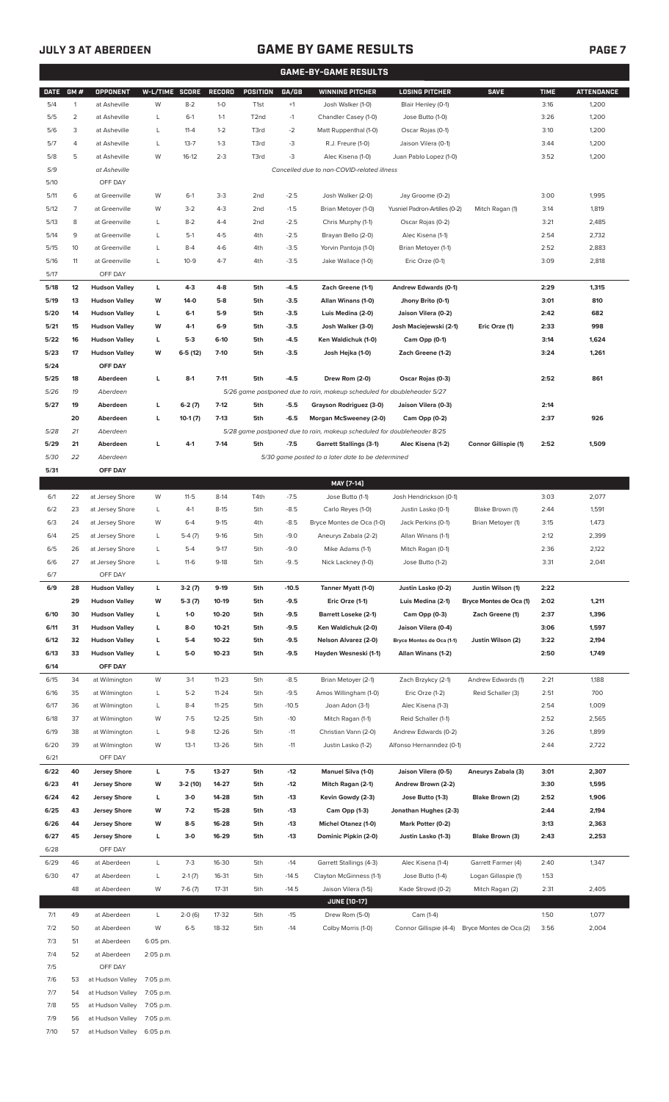7/9 56 at Hudson Valley 7:05 p.m. 7/10 57 at Hudson Valley 6:05 p.m.

### **JULY 3 AT ABERDEEN GAME BY GAME RESULTS**

|--|--|--|

| <b>GAME-BY-GAME RESULTS</b> |                     |                                    |                |                  |                      |                                    |                  |                                                                         |                                                    |                                      |              |                   |
|-----------------------------|---------------------|------------------------------------|----------------|------------------|----------------------|------------------------------------|------------------|-------------------------------------------------------------------------|----------------------------------------------------|--------------------------------------|--------------|-------------------|
| <b>DATE</b>                 | GM#                 | OPPONENT                           | W-L/TIME SCORE |                  | RECORD               | <b>POSITION</b>                    | GA/GB            | <b>WINNING PITCHER</b>                                                  | <b>LOSING PITCHER</b>                              | <b>SAVE</b>                          | <b>TIME</b>  | <b>ATTENDANCE</b> |
| 5/4                         | $\mathbf{1}$        | at Asheville                       | W              | $8 - 2$          | $1-0$                | T <sub>1st</sub>                   | $+1$             | Josh Walker (1-0)                                                       | Blair Henley (0-1)                                 |                                      | 3:16         | 1,200             |
| 5/5                         | $\overline{2}$      | at Asheville                       | L              | $6-1$            | $1 - 1$              | T <sub>2</sub> nd                  | $-1$             | Chandler Casey (1-0)                                                    | Jose Butto (1-0)                                   |                                      | 3:26         | 1,200             |
| 5/6                         | 3                   | at Asheville                       | L              | $11 - 4$         | $1 - 2$              | T3rd                               | $-2$             | Matt Ruppenthal (1-0)                                                   | Oscar Rojas (0-1)                                  |                                      | 3:10         | 1,200             |
| 5/7                         | 4                   | at Asheville                       | L              | $13 - 7$         | $1 - 3$              | T3rd                               | -3               | R.J. Freure (1-0)                                                       | Jaison Vilera (0-1)                                |                                      | 3:44         | 1,200             |
| 5/8                         | 5                   | at Asheville                       | W              | $16-12$          | $2 - 3$              | T3rd                               | -3               | Alec Kisena (1-0)                                                       | Juan Pablo Lopez (1-0)                             |                                      | 3:52         | 1,200             |
| 5/9                         |                     | at Asheville                       |                |                  |                      |                                    |                  | Cancelled due to non-COVID-related illness                              |                                                    |                                      |              |                   |
| 5/10                        |                     | OFF DAY                            |                |                  |                      |                                    |                  |                                                                         |                                                    |                                      |              |                   |
| 5/11                        | 6<br>$\overline{7}$ | at Greenville<br>at Greenville     | W<br>W         | $6-1$<br>$3-2$   | $3-3$<br>$4 - 3$     | 2 <sub>nd</sub><br>2 <sub>nd</sub> | $-2.5$           | Josh Walker (2-0)                                                       | Jay Groome (0-2)                                   |                                      | 3:00         | 1,995             |
| 5/12<br>5/13                | 8                   | at Greenville                      | L              | $8 - 2$          | $4 - 4$              | 2 <sub>nd</sub>                    | $-1.5$<br>$-2.5$ | Brian Metoyer (1-0)                                                     | Yusniel Padron-Artilles (0-2)<br>Oscar Rojas (0-2) | Mitch Ragan (1)                      | 3:14<br>3:21 | 1,819<br>2,485    |
| 5/14                        | 9                   | at Greenville                      | L              | $5-1$            | $4 - 5$              | 4th                                | $-2.5$           | Chris Murphy (1-1)<br>Brayan Bello (2-0)                                | Alec Kisena (1-1)                                  |                                      | 2:54         | 2,732             |
| 5/15                        | 10                  | at Greenville                      | L              | $8 - 4$          | $4-6$                | 4th                                | $-3.5$           | Yorvin Pantoja (1-0)                                                    | Brian Metoyer (1-1)                                |                                      | 2:52         | 2,883             |
| 5/16                        | 11                  | at Greenville                      | L              | $10-9$           | $4 - 7$              | 4th                                | $-3.5$           | Jake Wallace (1-0)                                                      | Eric Orze (0-1)                                    |                                      | 3:09         | 2,818             |
| 5/17                        |                     | OFF DAY                            |                |                  |                      |                                    |                  |                                                                         |                                                    |                                      |              |                   |
| 5/18                        | 12                  | <b>Hudson Valley</b>               | L              | $4-3$            | $4 - 8$              | 5th                                | $-4.5$           | Zach Greene (1-1)                                                       | Andrew Edwards (0-1)                               |                                      | 2:29         | 1,315             |
| 5/19                        | 13                  | <b>Hudson Valley</b>               | W              | 14-0             | $5-8$                | 5th                                | $-3.5$           | Allan Winans (1-0)                                                      | Jhony Brito (0-1)                                  |                                      | 3:01         | 810               |
| 5/20                        | 14                  | <b>Hudson Valley</b>               | L              | $6-1$            | 5-9                  | 5th                                | $-3.5$           | Luis Medina (2-0)                                                       | Jaison Vilera (0-2)                                |                                      | 2:42         | 682               |
| 5/21                        | 15                  | <b>Hudson Valley</b>               | W              | 4-1              | $6-9$                | 5th                                | $-3.5$           | Josh Walker (3-0)                                                       | Josh Maciejewski (2-1)                             | Eric Orze (1)                        | 2:33         | 998               |
| 5/22                        | 16                  | <b>Hudson Valley</b>               | г              | $5-3$            | $6-10$               | 5th                                | $-4.5$           | Ken Waldichuk (1-0)                                                     | Cam Opp (0-1)                                      |                                      | 3:14         | 1,624             |
| 5/23                        | 17                  | <b>Hudson Valley</b>               | W              | $6-5(12)$        | $7 - 10$             | 5th                                | $-3.5$           | Josh Hejka (1-0)                                                        | Zach Greene (1-2)                                  |                                      | 3:24         | 1,261             |
| 5/24                        |                     | OFF DAY                            |                |                  |                      |                                    |                  |                                                                         |                                                    |                                      |              |                   |
| 5/25                        | 18                  | Aberdeen                           | г              | $8-1$            | $7 - 11$             | 5th                                | $-4.5$           | Drew Rom (2-0)                                                          | Oscar Rojas (0-3)                                  |                                      | 2:52         | 861               |
| 5/26                        | 19                  | Aberdeen                           |                |                  |                      |                                    |                  | 5/26 game postponed due to rain, makeup scheduled for doubleheader 5/27 |                                                    |                                      |              |                   |
| 5/27                        | 19                  | Aberdeen                           | г              | $6-2(7)$         | $7-12$               | 5th                                | $-5.5$           | Grayson Rodriguez (3-0)                                                 | Jaison Vilera (0-3)                                |                                      | 2:14         |                   |
|                             | 20                  | Aberdeen                           | г              | $10-1(7)$        | $7-13$               | 5th                                | -6.5             | Morgan McSweeney (2-0)                                                  | Cam Opp (0-2)                                      |                                      | 2:37         | 926               |
| 5/28                        | 21                  | Aberdeen                           |                |                  |                      |                                    |                  | 5/28 game postponed due to rain, makeup scheduled for doubleheader 8/25 |                                                    |                                      |              |                   |
| 5/29                        | 21                  | Aberdeen                           | г              | $4-1$            | $7-14$               | 5th                                | $-7.5$           | <b>Garrett Stallings (3-1)</b>                                          | Alec Kisena (1-2)                                  | <b>Connor Gillispie (1)</b>          | 2:52         | 1,509             |
| 5/30                        | 22                  | Aberdeen                           |                |                  |                      |                                    |                  | 5/30 game posted to a later date to be determined                       |                                                    |                                      |              |                   |
| 5/31                        |                     | OFF DAY                            |                |                  |                      |                                    |                  |                                                                         |                                                    |                                      |              |                   |
|                             |                     |                                    |                |                  |                      |                                    |                  | MAY [7-14]                                                              |                                                    |                                      |              |                   |
| 6/1                         | 22                  | at Jersey Shore                    | W              | $11 - 5$         | $8-14$               | T4th                               | $-7.5$           | Jose Butto (1-1)                                                        | Josh Hendrickson (0-1)                             |                                      | 3:03         | 2,077             |
| 6/2<br>6/3                  | 23<br>24            | at Jersey Shore<br>at Jersey Shore | L<br>W         | $4-1$<br>$6 - 4$ | $8 - 15$<br>$9 - 15$ | 5th<br>4th                         | $-8.5$<br>$-8.5$ | Carlo Reyes (1-0)                                                       | Justin Lasko (0-1)                                 | Blake Brown (1)<br>Brian Metoyer (1) | 2:44<br>3:15 | 1,591<br>1,473    |
| 6/4                         | 25                  | at Jersey Shore                    | L              | $5-4(7)$         | $9-16$               | 5th                                | $-9.0$           | Bryce Montes de Oca (1-0)<br>Aneurys Zabala (2-2)                       | Jack Perkins (0-1)<br>Allan Winans (1-1)           |                                      | 2:12         | 2,399             |
| 6/5                         | 26                  | at Jersey Shore                    | L              | $5 - 4$          | $9 - 17$             | 5th                                | $-9.0$           | Mike Adams (1-1)                                                        | Mitch Ragan (0-1)                                  |                                      | 2:36         | 2,122             |
| 6/6                         | 27                  | at Jersey Shore                    | L              | $11-6$           | $9-18$               | 5th                                | $-9.5$           | Nick Lackney (1-0)                                                      | Jose Butto (1-2)                                   |                                      | 3:31         | 2,041             |
| 6/7                         |                     | OFF DAY                            |                |                  |                      |                                    |                  |                                                                         |                                                    |                                      |              |                   |
| 6/9                         | 28                  | <b>Hudson Valley</b>               | L              | $3-2(7)$         | 9-19                 | 5th                                | $-10.5$          | Tanner Myatt (1-0)                                                      | Justin Lasko (0-2)                                 | Justin Wilson (1)                    | 2:22         |                   |
|                             | 29                  | <b>Hudson Valley</b>               | W              | $5-3(7)$         | 10-19                | 5th                                | -9.5             | Eric Orze (1-1)                                                         | Luis Medina (2-1)                                  | Bryce Montes de Oca (1)              | 2:02         | 1,211             |
| 6/10                        | 30                  | <b>Hudson Valley</b>               | L              | $1-0$            | 10-20                | 5th                                | -9.5             | <b>Barrett Loseke (2-1)</b>                                             | Cam Opp (0-3)                                      | Zach Greene (1)                      | 2:37         | 1,396             |
| 6/11                        | 31                  | <b>Hudson Valley</b>               | Г              | $8-0$            | $10 - 21$            | 5th                                | -9.5             | Ken Waldichuk (2-0)                                                     | Jaison Vilera (0-4)                                |                                      | 3:06         | 1,597             |
| 6/12                        | 32                  | <b>Hudson Valley</b>               | Г              | $5-4$            | 10-22                | 5th                                | $-9.5$           | <b>Nelson Alvarez (2-0)</b>                                             | Bryce Montes de Oca (1-1)                          | Justin Wilson (2)                    | 3:22         | 2,194             |
| 6/13                        | 33                  | <b>Hudson Valley</b>               | L              | $5-0$            | $10 - 23$            | 5th                                | $-9.5$           | Hayden Wesneski (1-1)                                                   | Allan Winans (1-2)                                 |                                      | 2:50         | 1,749             |
| 6/14                        |                     | OFF DAY                            |                |                  |                      |                                    |                  |                                                                         |                                                    |                                      |              |                   |
| 6/15                        | 34                  | at Wilmington                      | W              | $3-1$            | $11 - 23$            | 5th                                | $-8.5$           | Brian Metoyer (2-1)                                                     | Zach Brzykcy (2-1)                                 | Andrew Edwards (1)                   | 2:21         | 1,188             |
| 6/16                        | 35                  | at Wilmington                      | L              | $5 - 2$          | $11 - 24$            | 5th                                | $-9.5$           | Amos Willingham (1-0)                                                   | Eric Orze (1-2)                                    | Reid Schaller (3)                    | 2:51         | 700               |
| 6/17                        | 36                  | at Wilmington                      | L              | $8 - 4$          | $11 - 25$            | 5th                                | $-10.5$          | Joan Adon (3-1)                                                         | Alec Kisena (1-3)                                  |                                      | 2:54         | 1,009             |
| 6/18                        | 37                  | at Wilmington                      | W              | $7-5$            | $12 - 25$            | 5th                                | $-10$            | Mitch Ragan (1-1)                                                       | Reid Schaller (1-1)                                |                                      | 2:52         | 2,565             |
| 6/19                        | 38                  | at Wilmington                      | L              | $9 - 8$          | $12 - 26$            | 5th                                | $-11$            | Christian Vann (2-0)                                                    | Andrew Edwards (0-2)                               |                                      | 3:26         | 1,899             |
| 6/20<br>6/21                | 39                  | at Wilmington<br>OFF DAY           | W              | $13-1$           | $13 - 26$            | 5th                                | $-11$            | Justin Lasko (1-2)                                                      | Alfonso Hernanndez (0-1)                           |                                      | 2:44         | 2,722             |
| 6/22                        | 40                  | <b>Jersey Shore</b>                | L              | $7-5$            | 13-27                | 5th                                | $-12$            | Manuel Silva (1-0)                                                      | Jaison Vilera (0-5)                                | Aneurys Zabala (3)                   | 3:01         | 2,307             |
| 6/23                        | 41                  | <b>Jersey Shore</b>                | W              | 3-2 (10)         | $14 - 27$            | 5th                                | $-12$            | Mitch Ragan (2-1)                                                       | Andrew Brown (2-2)                                 |                                      | 3:30         | 1,595             |
| 6/24                        | 42                  | <b>Jersey Shore</b>                | Г              | $3-0$            | 14-28                | 5th                                | $-13$            | Kevin Gowdy (2-3)                                                       | Jose Butto (1-3)                                   | Blake Brown (2)                      | 2:52         | 1,906             |
| 6/25                        | 43                  | <b>Jersey Shore</b>                | W              | $7-2$            | 15-28                | 5th                                | $-13$            | Cam Opp (1-3)                                                           | Jonathan Hughes (2-3)                              |                                      | 2:44         | 2,194             |
| 6/26                        | 44                  | <b>Jersey Shore</b>                | W              | $8-5$            | 16-28                | 5th                                | $-13$            | Michel Otanez (1-0)                                                     | Mark Potter (0-2)                                  |                                      | 3:13         | 2,363             |
| 6/27                        | 45                  | <b>Jersey Shore</b>                | Г              | $3-0$            | 16-29                | 5th                                | $-13$            | Dominic Pipkin (2-0)                                                    | Justin Lasko (1-3)                                 | <b>Blake Brown (3)</b>               | 2:43         | 2,253             |
| 6/28                        |                     | OFF DAY                            |                |                  |                      |                                    |                  |                                                                         |                                                    |                                      |              |                   |
| 6/29                        | 46                  | at Aberdeen                        | L              | $7 - 3$          | 16-30                | 5th                                | $-14$            | Garrett Stallings (4-3)                                                 | Alec Kisena (1-4)                                  | Garrett Farmer (4)                   | 2:40         | 1,347             |
| 6/30                        | 47                  | at Aberdeen                        | L              | $2-1(7)$         | 16-31                | 5th                                | $-14.5$          | Clayton McGinness (1-1)                                                 | Jose Butto (1-4)                                   | Logan Gillaspie (1)                  | 1:53         |                   |
|                             | 48                  | at Aberdeen                        | W              | $7-6(7)$         | $17 - 31$            | 5th                                | $-14.5$          | Jaison Vilera (1-5)                                                     | Kade Strowd (0-2)                                  | Mitch Ragan (2)                      | 2:31         | 2,405             |
|                             |                     |                                    |                |                  |                      |                                    |                  | <b>JUNE (10-17)</b>                                                     |                                                    |                                      |              |                   |
| 7/1                         | 49                  | at Aberdeen                        | L              | $2-0(6)$         | 17-32                | 5th                                | $-15$            | Drew Rom (5-0)                                                          | Cam (1-4)                                          |                                      | 1:50         | 1,077             |
| 7/2                         | 50                  | at Aberdeen                        | W              | $6 - 5$          | 18-32                | 5th                                | $-14$            | Colby Morris (1-0)                                                      | Connor Gillispie (4-4)                             | Bryce Montes de Oca (2)              | 3:56         | 2,004             |
| 7/3                         | 51                  | at Aberdeen                        | 6:05 pm.       |                  |                      |                                    |                  |                                                                         |                                                    |                                      |              |                   |
| 7/4                         | 52                  | at Aberdeen                        | 2:05 p.m.      |                  |                      |                                    |                  |                                                                         |                                                    |                                      |              |                   |
| 7/5                         |                     | OFF DAY                            |                |                  |                      |                                    |                  |                                                                         |                                                    |                                      |              |                   |
| 7/6                         | 53                  | at Hudson Valley                   | 7:05 p.m.      |                  |                      |                                    |                  |                                                                         |                                                    |                                      |              |                   |
| 7/7                         | 54                  | at Hudson Valley                   | 7:05 p.m.      |                  |                      |                                    |                  |                                                                         |                                                    |                                      |              |                   |
| 7/8                         | 55                  | at Hudson Valley                   | 7:05 p.m.      |                  |                      |                                    |                  |                                                                         |                                                    |                                      |              |                   |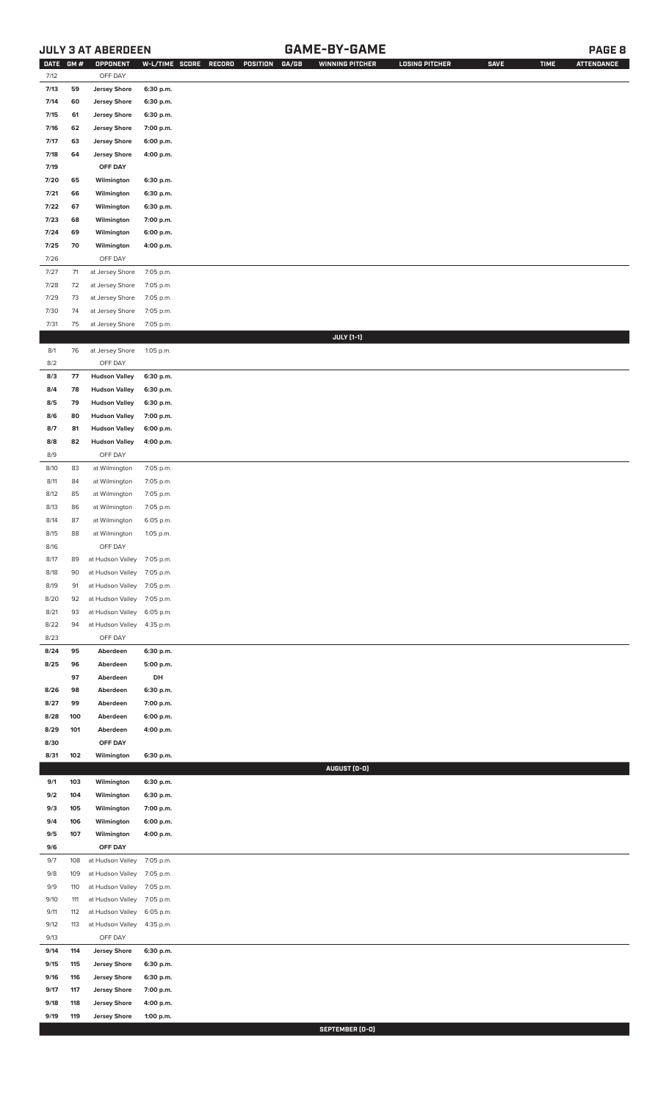### **JULY 3 AT ABERDEEN GAME-BY-GAME PAGE 8**

| <b>DATE</b> | GM# | OPPONENT                   | W-L/TIME SCORE | <b>RECORD</b> | GA/GB<br>POSITION | <b>WINNING PITCHER</b> | <b>LOSING PITCHER</b> | <b>SAVE</b> | <b>TIME</b> | <b>ATTENDANCE</b> |
|-------------|-----|----------------------------|----------------|---------------|-------------------|------------------------|-----------------------|-------------|-------------|-------------------|
| 7/12        |     | OFF DAY                    |                |               |                   |                        |                       |             |             |                   |
| 7/13        | 59  | <b>Jersey Shore</b>        | 6:30 p.m.      |               |                   |                        |                       |             |             |                   |
| 7/14        | 60  | <b>Jersey Shore</b>        | 6:30 p.m.      |               |                   |                        |                       |             |             |                   |
| 7/15        | 61  | <b>Jersey Shore</b>        | 6:30 p.m.      |               |                   |                        |                       |             |             |                   |
| 7/16        | 62  | <b>Jersey Shore</b>        | 7:00 p.m.      |               |                   |                        |                       |             |             |                   |
| 7/17        | 63  | <b>Jersey Shore</b>        | 6:00 p.m.      |               |                   |                        |                       |             |             |                   |
|             |     |                            |                |               |                   |                        |                       |             |             |                   |
| 7/18        | 64  | <b>Jersey Shore</b>        | 4:00 p.m.      |               |                   |                        |                       |             |             |                   |
| 7/19        |     | OFF DAY                    |                |               |                   |                        |                       |             |             |                   |
| 7/20        | 65  | Wilmington                 | 6:30 p.m.      |               |                   |                        |                       |             |             |                   |
| 7/21        | 66  | Wilmington                 | 6:30 p.m.      |               |                   |                        |                       |             |             |                   |
| 7/22        | 67  | Wilmington                 | 6:30 p.m.      |               |                   |                        |                       |             |             |                   |
| 7/23        | 68  | Wilmington                 | 7:00 p.m.      |               |                   |                        |                       |             |             |                   |
| 7/24        | 69  | Wilmington                 | 6:00 p.m.      |               |                   |                        |                       |             |             |                   |
| 7/25        | 70  |                            |                |               |                   |                        |                       |             |             |                   |
|             |     | Wilmington                 | 4:00 p.m.      |               |                   |                        |                       |             |             |                   |
| 7/26        |     | OFF DAY                    |                |               |                   |                        |                       |             |             |                   |
| 7/27        | 71  | at Jersey Shore            | 7:05 p.m.      |               |                   |                        |                       |             |             |                   |
| 7/28        | 72  | at Jersey Shore            | 7:05 p.m.      |               |                   |                        |                       |             |             |                   |
| 7/29        | 73  | at Jersey Shore            | 7:05 p.m.      |               |                   |                        |                       |             |             |                   |
| 7/30        | 74  | at Jersey Shore            | 7:05 p.m.      |               |                   |                        |                       |             |             |                   |
| 7/31        | 75  | at Jersey Shore            | 7:05 p.m.      |               |                   |                        |                       |             |             |                   |
|             |     |                            |                |               |                   | <b>JULY</b> [1-1]      |                       |             |             |                   |
| 8/1         | 76  | at Jersey Shore            | 1:05 p.m.      |               |                   |                        |                       |             |             |                   |
| 8/2         |     | OFF DAY                    |                |               |                   |                        |                       |             |             |                   |
|             |     |                            |                |               |                   |                        |                       |             |             |                   |
| 8/3         | 77  | <b>Hudson Valley</b>       | 6:30 p.m.      |               |                   |                        |                       |             |             |                   |
| 8/4         | 78  | <b>Hudson Valley</b>       | 6:30 p.m.      |               |                   |                        |                       |             |             |                   |
| 8/5         | 79  | <b>Hudson Valley</b>       | 6:30 p.m.      |               |                   |                        |                       |             |             |                   |
| 8/6         | 80  | <b>Hudson Valley</b>       | 7:00 p.m.      |               |                   |                        |                       |             |             |                   |
| 8/7         | 81  | <b>Hudson Valley</b>       | 6:00 p.m.      |               |                   |                        |                       |             |             |                   |
| 8/8         | 82  | <b>Hudson Valley</b>       | 4:00 p.m.      |               |                   |                        |                       |             |             |                   |
| 8/9         |     | OFF DAY                    |                |               |                   |                        |                       |             |             |                   |
| 8/10        | 83  | at Wilmington              | 7:05 p.m.      |               |                   |                        |                       |             |             |                   |
| 8/11        | 84  | at Wilmington              | 7:05 p.m.      |               |                   |                        |                       |             |             |                   |
|             |     |                            |                |               |                   |                        |                       |             |             |                   |
| 8/12        | 85  | at Wilmington              | 7:05 p.m.      |               |                   |                        |                       |             |             |                   |
| 8/13        | 86  | at Wilmington              | 7:05 p.m.      |               |                   |                        |                       |             |             |                   |
| 8/14        | 87  | at Wilmington              | 6:05 p.m.      |               |                   |                        |                       |             |             |                   |
| 8/15        | 88  | at Wilmington              | 1:05 p.m.      |               |                   |                        |                       |             |             |                   |
| 8/16        |     | OFF DAY                    |                |               |                   |                        |                       |             |             |                   |
| 8/17        | 89  | at Hudson Valley 7:05 p.m. |                |               |                   |                        |                       |             |             |                   |
| 8/18        | 90  | at Hudson Valley           | 7:05 p.m.      |               |                   |                        |                       |             |             |                   |
| 8/19        | 91  | at Hudson Valley           | 7:05 p.m.      |               |                   |                        |                       |             |             |                   |
|             |     |                            |                |               |                   |                        |                       |             |             |                   |
| 8/20        | 92  | at Hudson Valley           | 7:05 p.m.      |               |                   |                        |                       |             |             |                   |
| 8/21        | 93  | at Hudson Valley           | 6:05 p.m.      |               |                   |                        |                       |             |             |                   |
| 8/22        | 94  | at Hudson Valley           | 4:35 p.m.      |               |                   |                        |                       |             |             |                   |
| 8/23        |     | OFF DAY                    |                |               |                   |                        |                       |             |             |                   |
| 8/24        | 95  | Aberdeen                   | 6:30 p.m.      |               |                   |                        |                       |             |             |                   |
| 8/25        | 96  | Aberdeen                   | 5:00 p.m.      |               |                   |                        |                       |             |             |                   |
|             | 97  | Aberdeen                   | DH             |               |                   |                        |                       |             |             |                   |
| 8/26        | 98  | Aberdeen                   | 6:30 p.m.      |               |                   |                        |                       |             |             |                   |
| 8/27        | 99  | Aberdeen                   | 7:00 p.m.      |               |                   |                        |                       |             |             |                   |
|             |     | Aberdeen                   |                |               |                   |                        |                       |             |             |                   |
| 8/28        | 100 |                            | 6:00 p.m.      |               |                   |                        |                       |             |             |                   |
| 8/29        | 101 | Aberdeen                   | 4:00 p.m.      |               |                   |                        |                       |             |             |                   |
| 8/30        |     | OFF DAY                    |                |               |                   |                        |                       |             |             |                   |
| 8/31        | 102 | Wilmington                 | 6:30 p.m.      |               |                   |                        |                       |             |             |                   |
|             |     |                            |                |               |                   | AUGUST (0-0)           |                       |             |             |                   |
| 9/1         | 103 | Wilmington                 | 6:30 p.m.      |               |                   |                        |                       |             |             |                   |
| 9/2         | 104 | Wilmington                 | 6:30 p.m.      |               |                   |                        |                       |             |             |                   |
| 9/3         | 105 | Wilmington                 | 7:00 p.m.      |               |                   |                        |                       |             |             |                   |
| 9/4         | 106 | Wilmington                 | 6:00 p.m.      |               |                   |                        |                       |             |             |                   |
| 9/5         | 107 | Wilmington                 | 4:00 p.m.      |               |                   |                        |                       |             |             |                   |
| 9/6         |     | OFF DAY                    |                |               |                   |                        |                       |             |             |                   |
|             |     |                            |                |               |                   |                        |                       |             |             |                   |
| 9/7         | 108 | at Hudson Valley           | 7:05 p.m.      |               |                   |                        |                       |             |             |                   |
| 9/8         | 109 | at Hudson Valley           | 7:05 p.m.      |               |                   |                        |                       |             |             |                   |
| 9/9         | 110 | at Hudson Valley           | 7:05 p.m.      |               |                   |                        |                       |             |             |                   |
| 9/10        | 111 | at Hudson Valley           | 7:05 p.m.      |               |                   |                        |                       |             |             |                   |
| 9/11        | 112 | at Hudson Valley           | 6:05 p.m.      |               |                   |                        |                       |             |             |                   |
| 9/12        | 113 | at Hudson Valley           | 4:35 p.m.      |               |                   |                        |                       |             |             |                   |
| 9/13        |     | OFF DAY                    |                |               |                   |                        |                       |             |             |                   |
| 9/14        | 114 | <b>Jersey Shore</b>        | 6:30 p.m.      |               |                   |                        |                       |             |             |                   |
| 9/15        | 115 |                            | 6:30 p.m.      |               |                   |                        |                       |             |             |                   |
|             |     | <b>Jersey Shore</b>        |                |               |                   |                        |                       |             |             |                   |
| 9/16        | 116 | <b>Jersey Shore</b>        | 6:30 p.m.      |               |                   |                        |                       |             |             |                   |
| 9/17        | 117 | <b>Jersey Shore</b>        | 7:00 p.m.      |               |                   |                        |                       |             |             |                   |
| 9/18        | 118 | <b>Jersey Shore</b>        | 4:00 p.m.      |               |                   |                        |                       |             |             |                   |
| 9/19        | 119 | <b>Jersey Shore</b>        | 1:00 p.m.      |               |                   |                        |                       |             |             |                   |

**SEPTEMBER (0-0)**